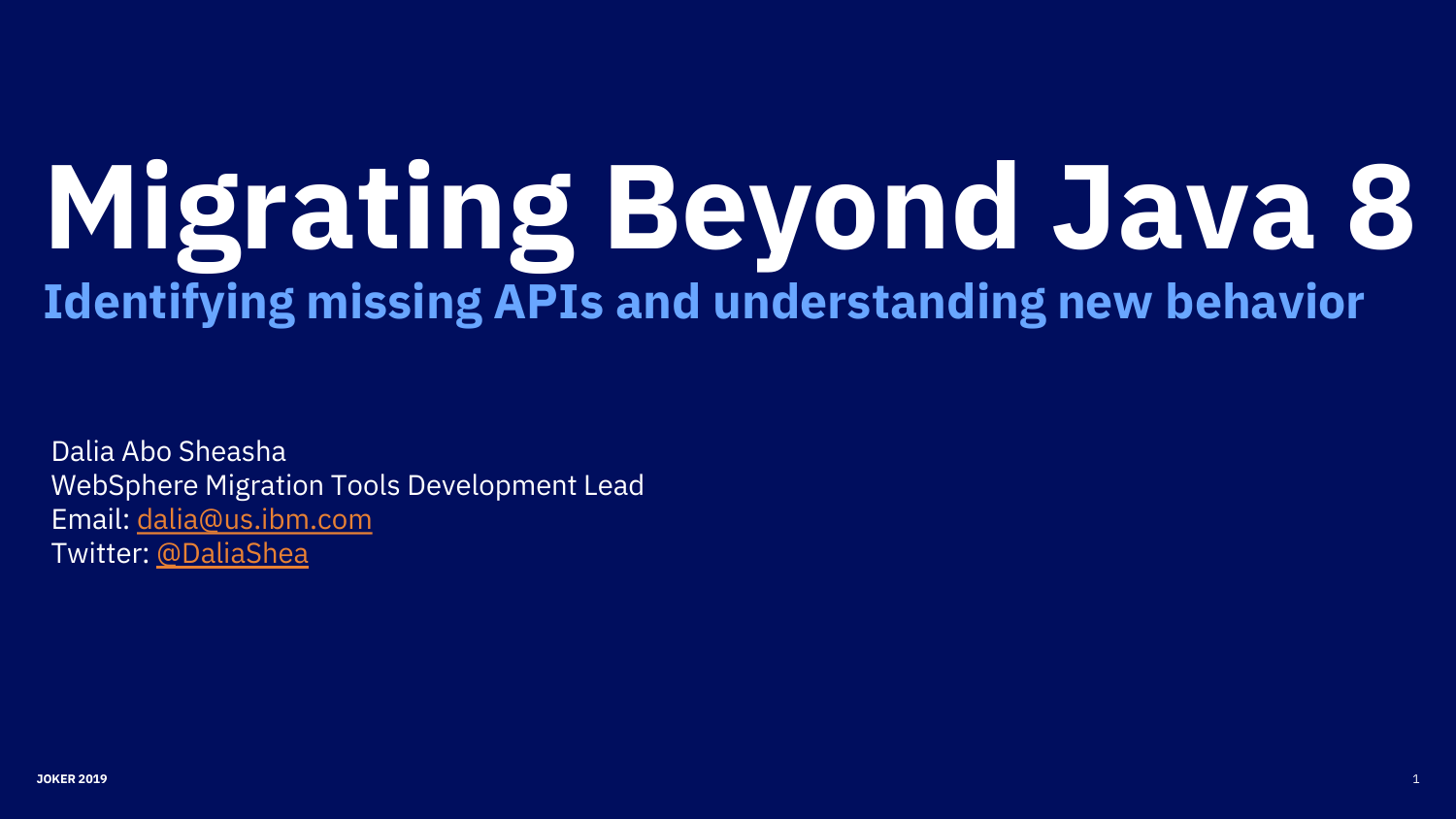# **Migrating Beyond Java 8 Identifying missing APIs and understanding new behavior**

Dalia Abo Sheasha WebSphere Migration Tools Development Lead Email: [dalia@us.ibm.com](mailto:dalia@us.ibm.com) Twitter: [@DaliaShea](https://twitter.com/DaliaShea)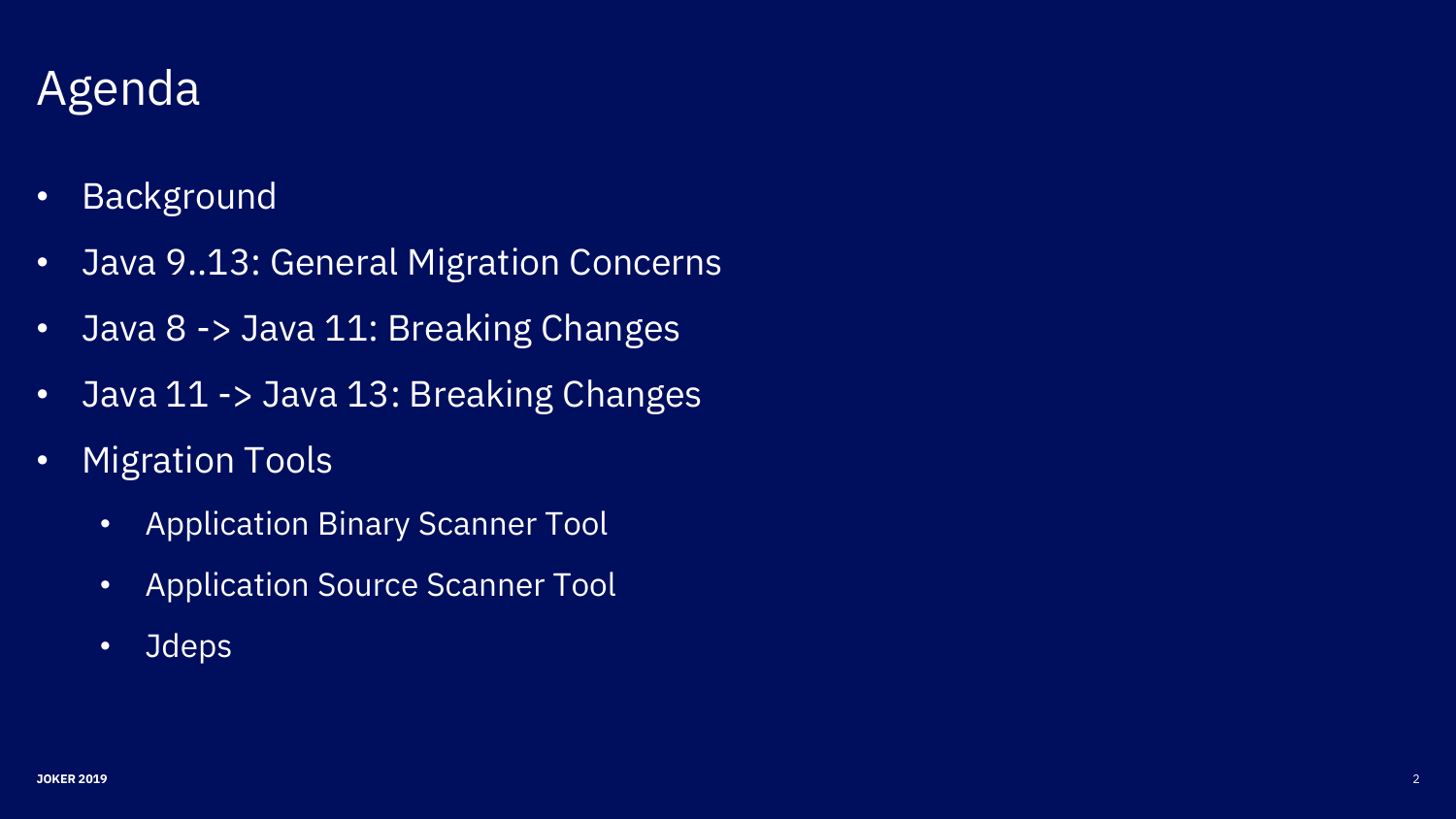# Agenda

- Background
- Java 9..13: General Migration Concerns
- Java 8 -> Java 11: Breaking Changes
- Java 11 -> Java 13: Breaking Changes
- Migration Tools
	- Application Binary Scanner Tool
	- Application Source Scanner Tool
	- Jdeps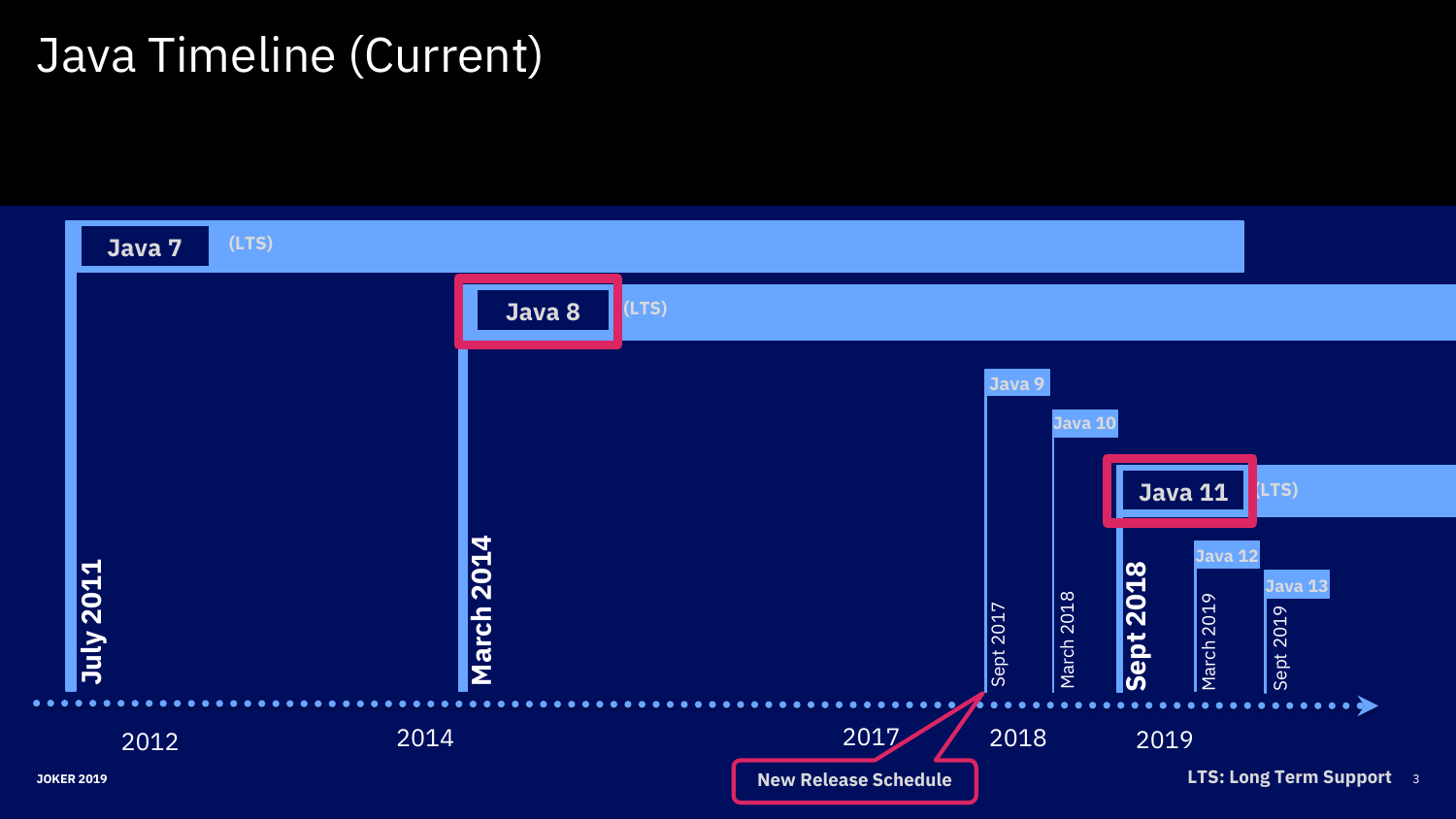# Java Timeline (Current)

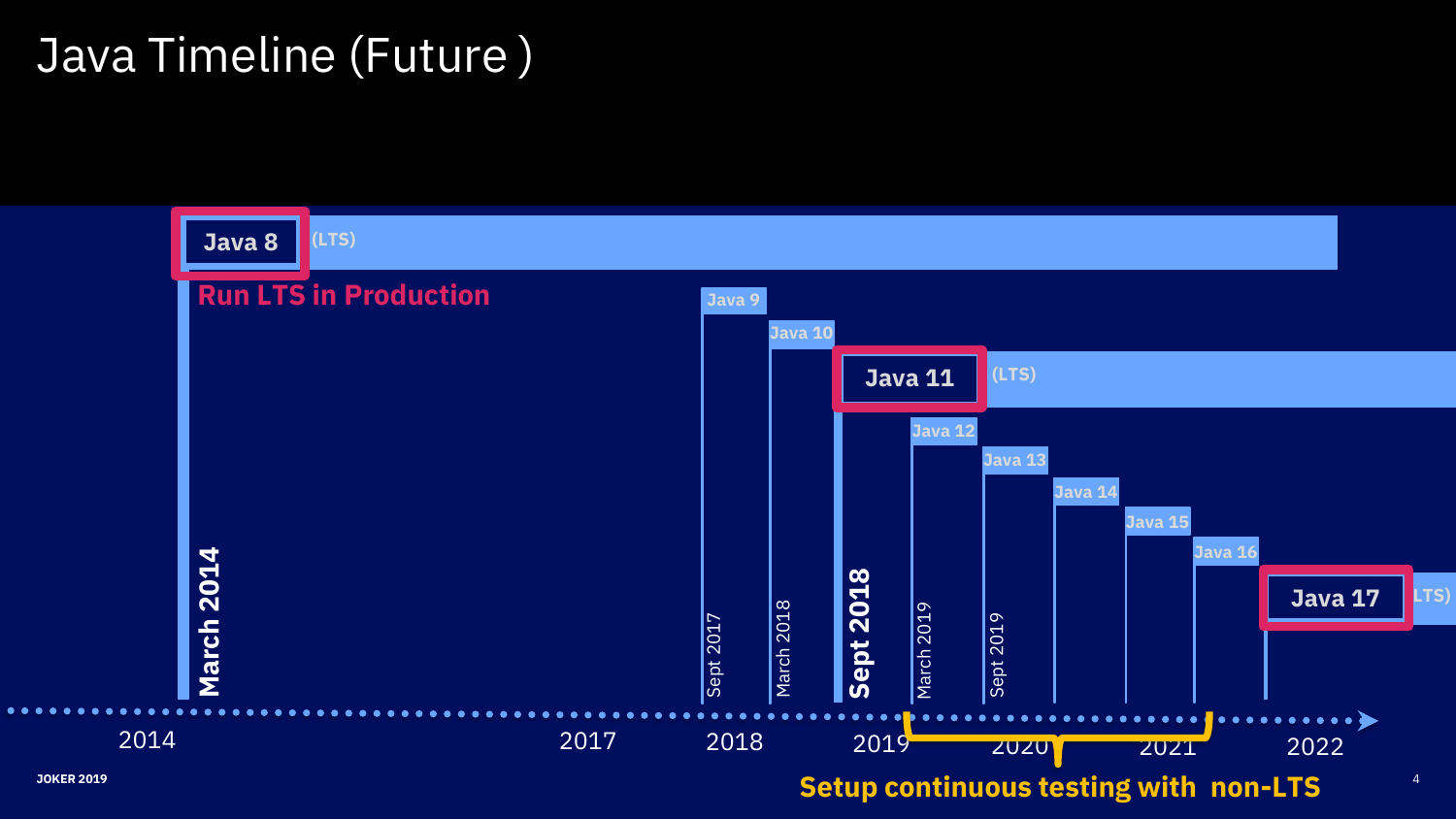# Java Timeline (Future )

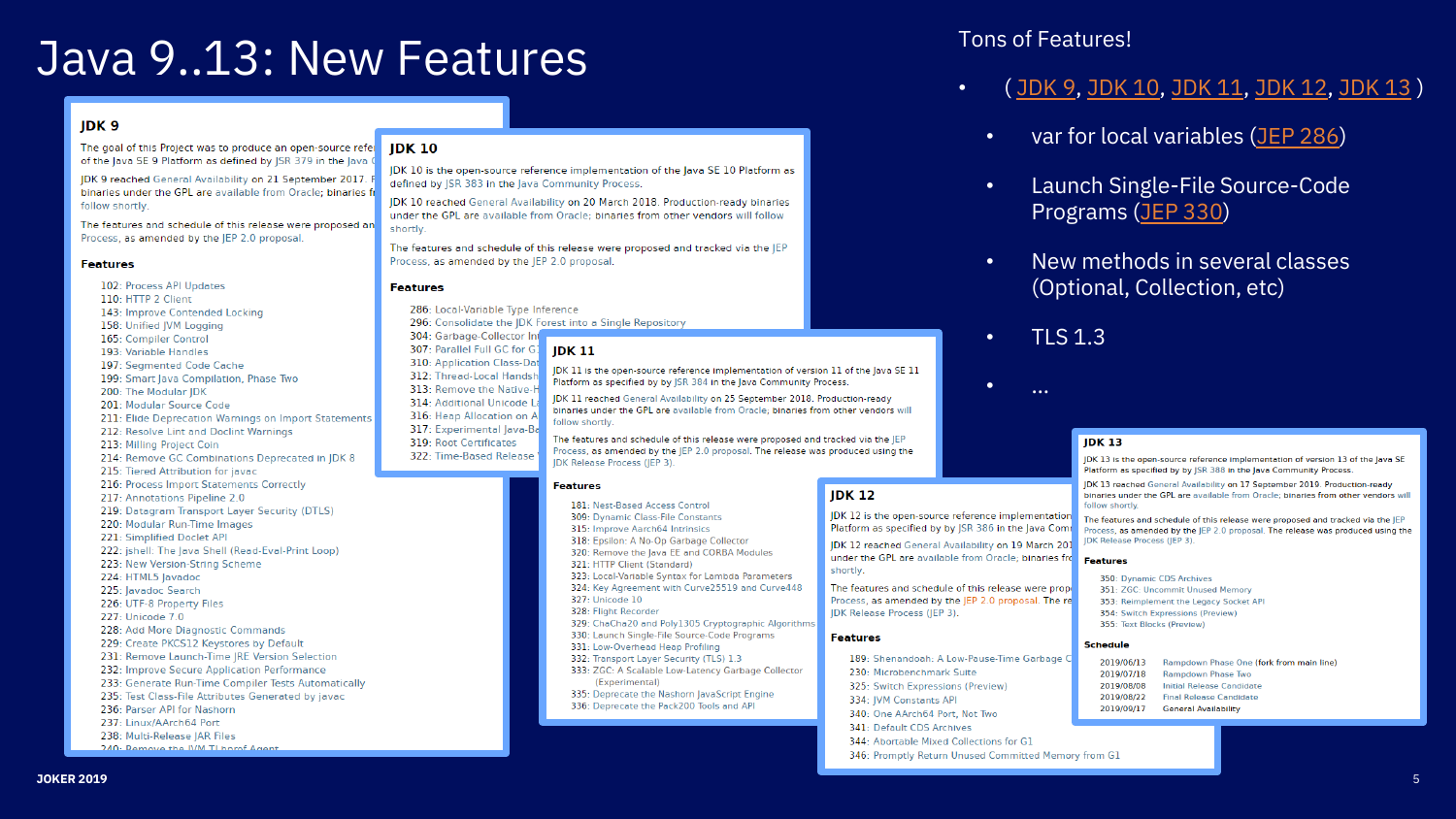# Java 9..13: New Features Tons of Features!

#### IDK<sub>9</sub>

The goal of this Project was to produce an open-source refer JDK 10 of the lava SE 9 Platform as defined by ISR 379 in the lava

JDK 9 reached General Availability on 21 September 2017. binaries under the GPL are available from Oracle: binaries fr follow shortly.

The features and schedule of this release were proposed an Process, as amended by the JEP 2.0 proposal.

#### **Features**

102: Process API Updates 110: HTTP 2 Client 143: Improve Contended Locking 158: Unified IVM Loaging 165: Compiler Control 193: Variable Handles 197: Seamented Code Cache 199: Smart lava Compilation, Phase Two 200: The Modular JDK 201: Modular Source Code 211: Elide Deprecation Warnings on Import Statements 212: Resolve Lint and Doclint Warnings 213: Milling Project Coin 214: Remove GC Combinations Deprecated in JDK 8 215: Tiered Attribution for javac 216: Process Import Statements Correctly 217: Annotations Pipeline 2.0 219: Datagram Transport Layer Security (DTLS) 220: Modular Run-Time Images 221: Simplified Doclet API

- 222: jshell: The Java Shell (Read-Eval-Print Loop)
- 223: New Version-String Scheme
- 224: HTML5 lavadoc
- 225: Javadoc Search
- 226: UTF-8 Property Files
- 227: Unicode 7.0
- 228: Add More Diagnostic Commands
- 229: Create PKCS12 Keystores by Default
- 231: Remove Launch-Time JRE Version Selection
- 232: Improve Secure Application Performance
- 233: Generate Run-Time Compiler Tests Automatically
- 235: Test Class-File Attributes Generated by javac
- 236: Parser API for Nashorn
- 237: Linux/AArch64 Port
- 238: Multi-Release JAR Files 240: Ramove the IVM TL baref Agent

IDK 10 is the open-source reference implementation of the lava SE 10 Platform as defined by ISR 383 in the lava Community Process

IDK 10 reached General Availability on 20 March 2018. Production-ready binaries under the GPL are available from Oracle; binaries from other vendors will follow shortly

The features and schedule of this release were proposed and tracked via the IEP Process, as amended by the IEP 2.0 proposal.

#### **Features**

286: Local-Variable Type Inference 296: Consolidate the JDK Forest into a Single Repository 304: Garbage-Collector Int 307: Parallel Full GC for G1 IDK 11 310: Application Class-Dat IDK 11 is the open-source reference implementation of version 11 of the lava SE 11 312: Thread-Local Handsh Platform as specified by by ISR 384 in the lava Community Process. 313: Remove the Native-H IDK 11 reached General Availability on 25 September 2018. Production-ready 314: Additional Unicode L binaries under the GPL are available from Oracle: binaries from other vendors will 316: Heap Allocation on A follow shortly 317: Experimental Java-Ba The features and schedule of this release were proposed and tracked via the JEP 319: Root Certificates Process, as amended by the IEP 2.0 proposal. The release was produced using the 322: Time-Based Release **IDK Release Process (IEP 3).** 

#### **Features**

- 181: Nest-Based Access Control 309: Dynamic Class-File Constants
- 315: Improve Aarch64 Intrinsics
- 318: Epsilon: A No-Op Garbage Collector
- 320: Remove the Java EE and CORBA Modules
- 321: HTTP Client (Standard)
- 323: Local-Variable Syntax for Lambda Parameters
- 324: Key Agreement with Curve25519 and Curve448

**IDK 12** 

shortly.

**Features** 

JDK Release Process (JEP 3).

230: Microbenchmark Suite

341: Default CDS Archives

334: IVM Constants API

325: Switch Expressions (Preview)

340: One AArch64 Port, Not Two

344: Abortable Mixed Collections for G1

- 327: Unicode 10
- 328: Flight Recorder
- 329: ChaCha20 and Poly1305 Cryptographic Algorithms
- 330: Launch Single-File Source-Code Programs
- 331: Low-Overhead Heap Profiling
- 332: Transport Layer Security (TLS) 1.3
- 333: ZGC: A Scalable Low-Latency Garbage Collector (Experimental)
- 335: Deprecate the Nashorn JavaScript Engine 336: Deprecate the Pack200 Tools and API

- ( [JDK 9](https://openjdk.java.net/projects/jdk9/), [JDK 10](https://openjdk.java.net/projects/jdk/10/), [JDK 11,](https://openjdk.java.net/projects/jdk/11/) [JDK 12](https://openjdk.java.net/projects/jdk/12/), [JDK 13](https://openjdk.java.net/projects/jdk/13/) )
	- var for local variables [\(JEP 286](https://openjdk.java.net/jeps/286))
	- Launch Single-File Source-Code Programs ([JEP 330\)](https://openjdk.java.net/jeps/330)
	- New methods in several classes (Optional, Collection, etc)
	- TLS 1.3

• …

IDK 12 is the open-source reference implementation

Platform as specified by by JSR 386 in the Java Comi

IDK 12 reached General Availability on 19 March 201

under the GPL are available from Oracle: binaries fro

189: Shenandoah: A Low-Pause-Time Garbage C

346: Promotly Return Unused Committed Memory from G1

#### **IDK 13**

IDK 13 is the open-source reference implementation of version 13 of the lava SE Platform as specified by by ISR 388 in the laya Community Process.

**IDK 13 reached General Availability on 17 September 2019** Production-ready binaries under the GPL are available from Oracle: binaries from other vendors will follow charthy

The features and schedule of this release were proposed and tracked via the JEP Process, as amended by the IEP 2.0 proposal. The release was produced using the **JDK Release Process (JEP 3)** 

#### Features

- 350: Dynamic CDS Archives The features and schedule of this release were prope 351: ZGC: Uncommit Unused Memory Process, as amended by the IEP 2.0 proposal. The re-353: Reimplement the Legacy Socket API
	- 354: Switch Expressions (Preview) 355: Text Blocks (Preview)
		- Rampdown Phase One (fork from main line)
	- 2019/07/18 Rampdown Phase Two 2019/08/08 **Initial Release Candidate**
	- 2019/08/22 **Final Release Candidate**
	- 2019/09/17 **General Availability**

**Schedule** 2019/06/13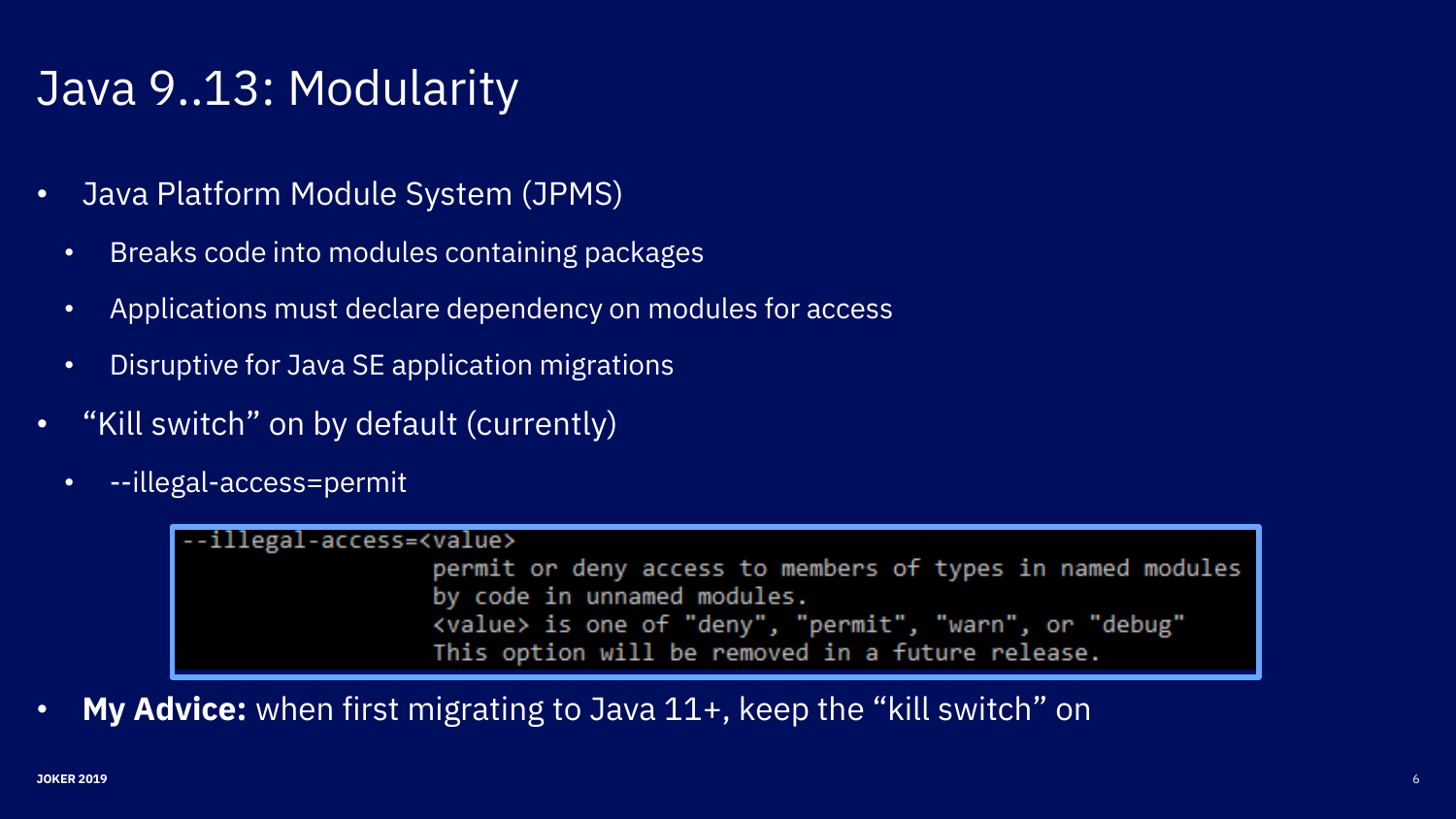# Java 9..13: Modularity

- Java Platform Module System (JPMS)
	- Breaks code into modules containing packages
	- Applications must declare dependency on modules for access
	- Disruptive for Java SE application migrations
- "Kill switch" on by default (currently)
	- --illegal-access=permit

-illegal-access=<value> permit or deny access to members of types in named modules by code in unnamed modules. <value> is one of "deny", "permit", "warn", or "debug" This option will be removed in a future release.

• **My Advice:** when first migrating to Java 11+, keep the "kill switch" on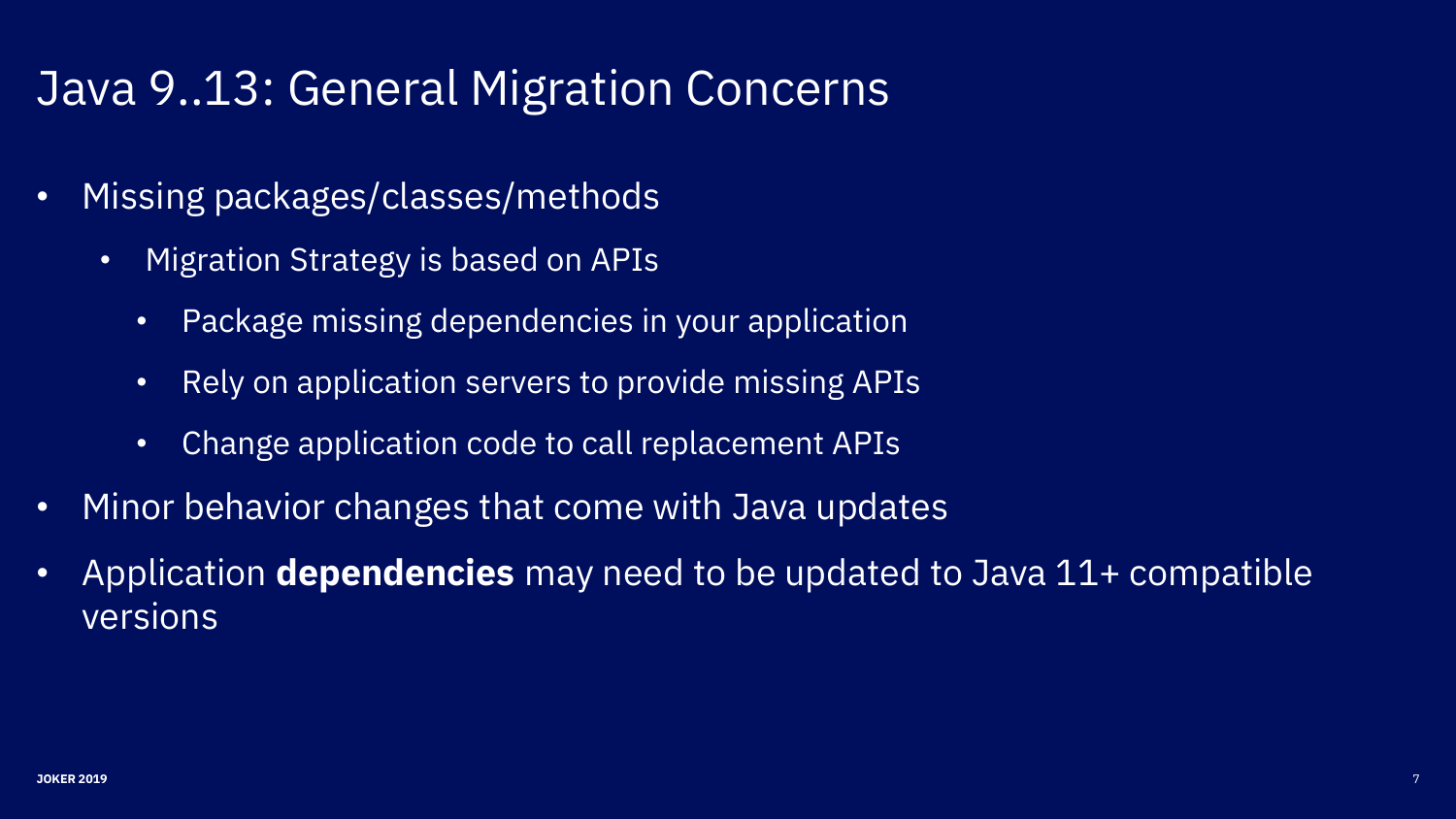# Java 9..13: General Migration Concerns

- Missing packages/classes/methods
	- Migration Strategy is based on APIs
		- Package missing dependencies in your application
		- Rely on application servers to provide missing APIs
		- Change application code to call replacement APIs
- Minor behavior changes that come with Java updates
- Application **dependencies** may need to be updated to Java 11+ compatible versions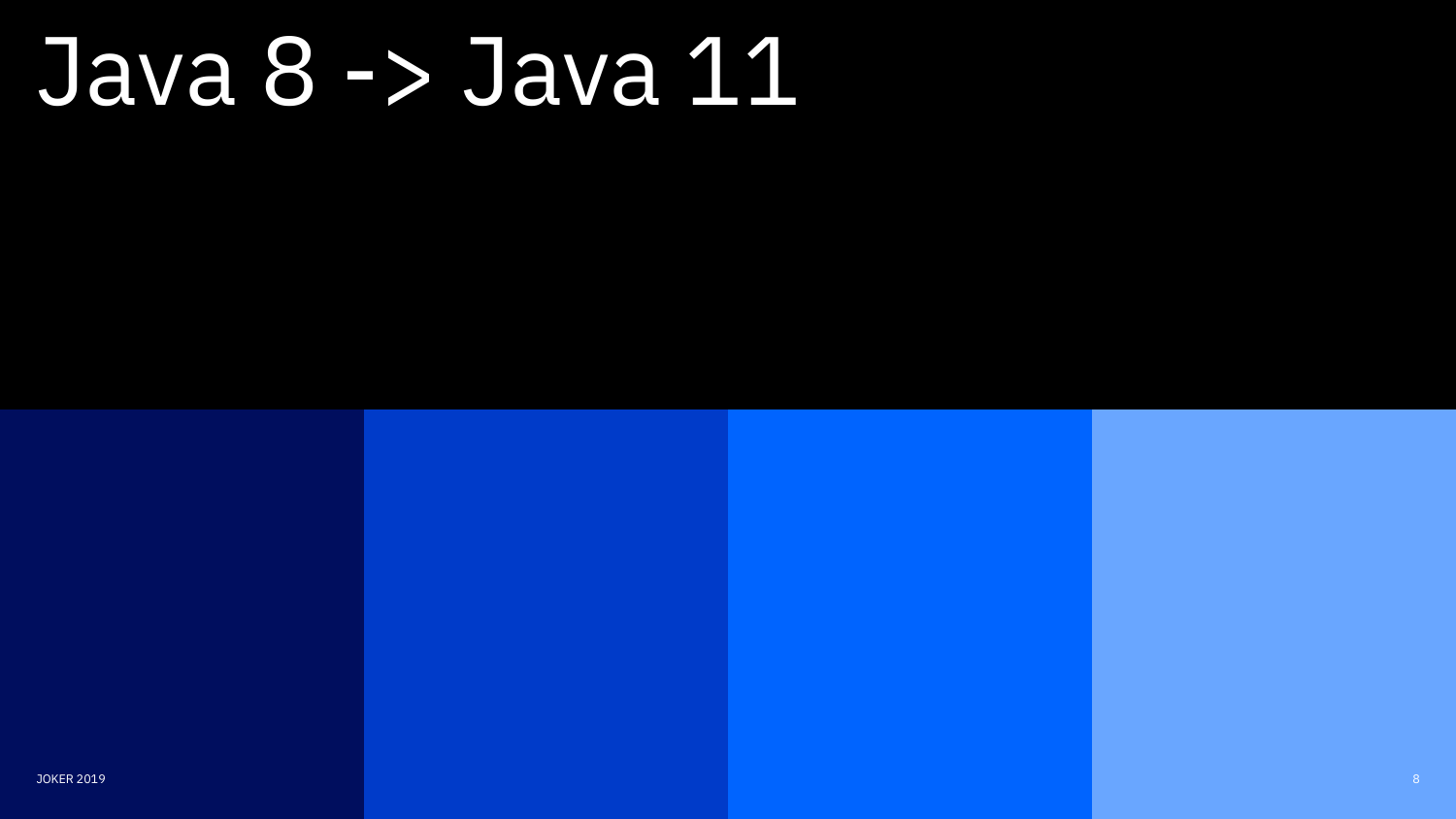# Java 8 -> Java 11

JOKER 2019 8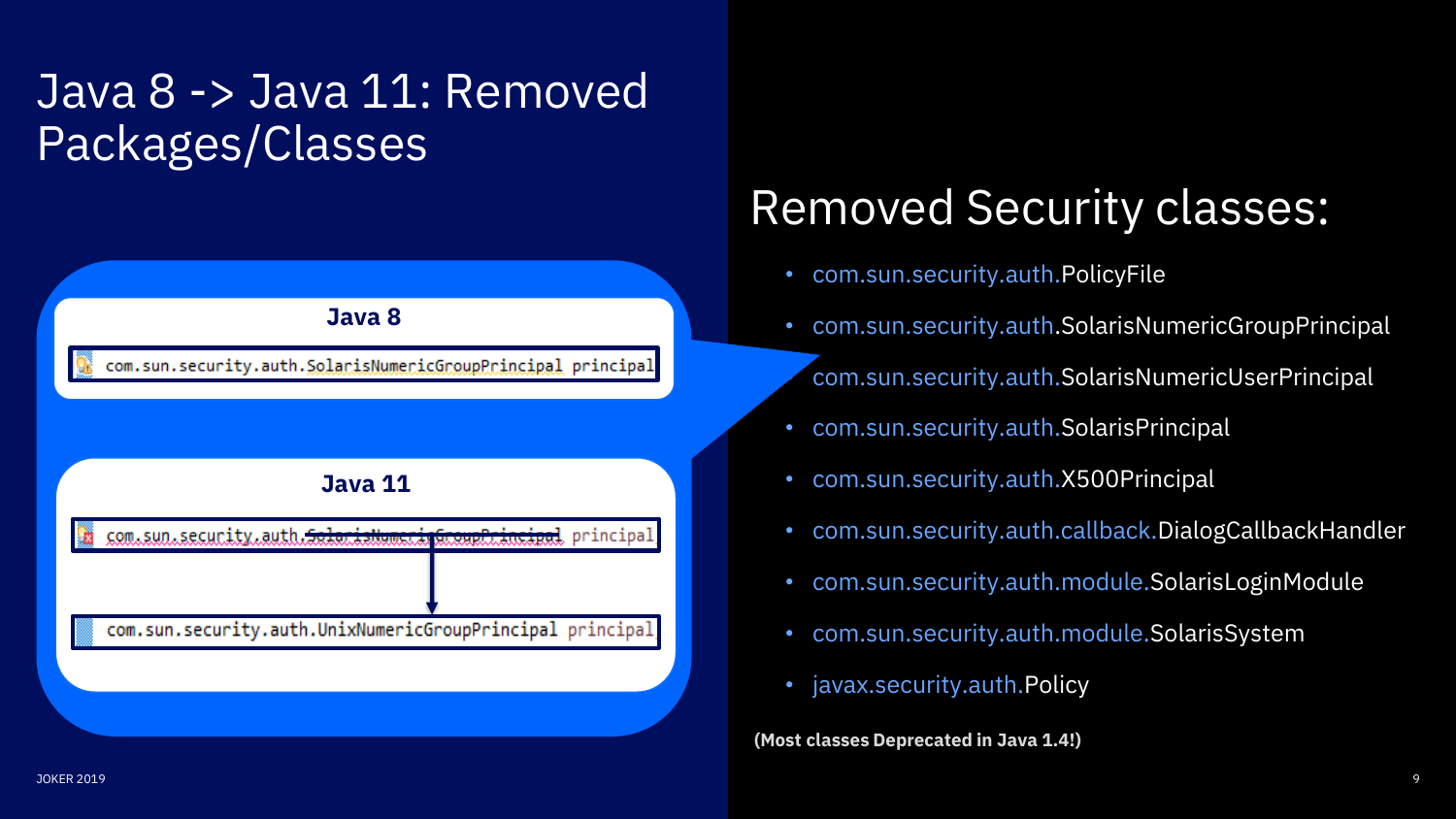# Java 8 -> Java 11: Removed Packages/Classes



# Removed Security classes:

- com.sun.security.auth.PolicyFile
- com.sun.security.auth.SolarisNumericGroupPrincipal
	- com.sun.security.auth.SolarisNumericUserPrincipal
- com.sun.security.auth.SolarisPrincipal
- com.sun.security.auth.X500Principal
- com.sun.security.auth.callback.DialogCallbackHandler
- com.sun.security.auth.module.SolarisLoginModule
- com.sun.security.auth.module.SolarisSystem
- javax.security.auth.Policy

**(Most classes Deprecated in Java 1.4!)**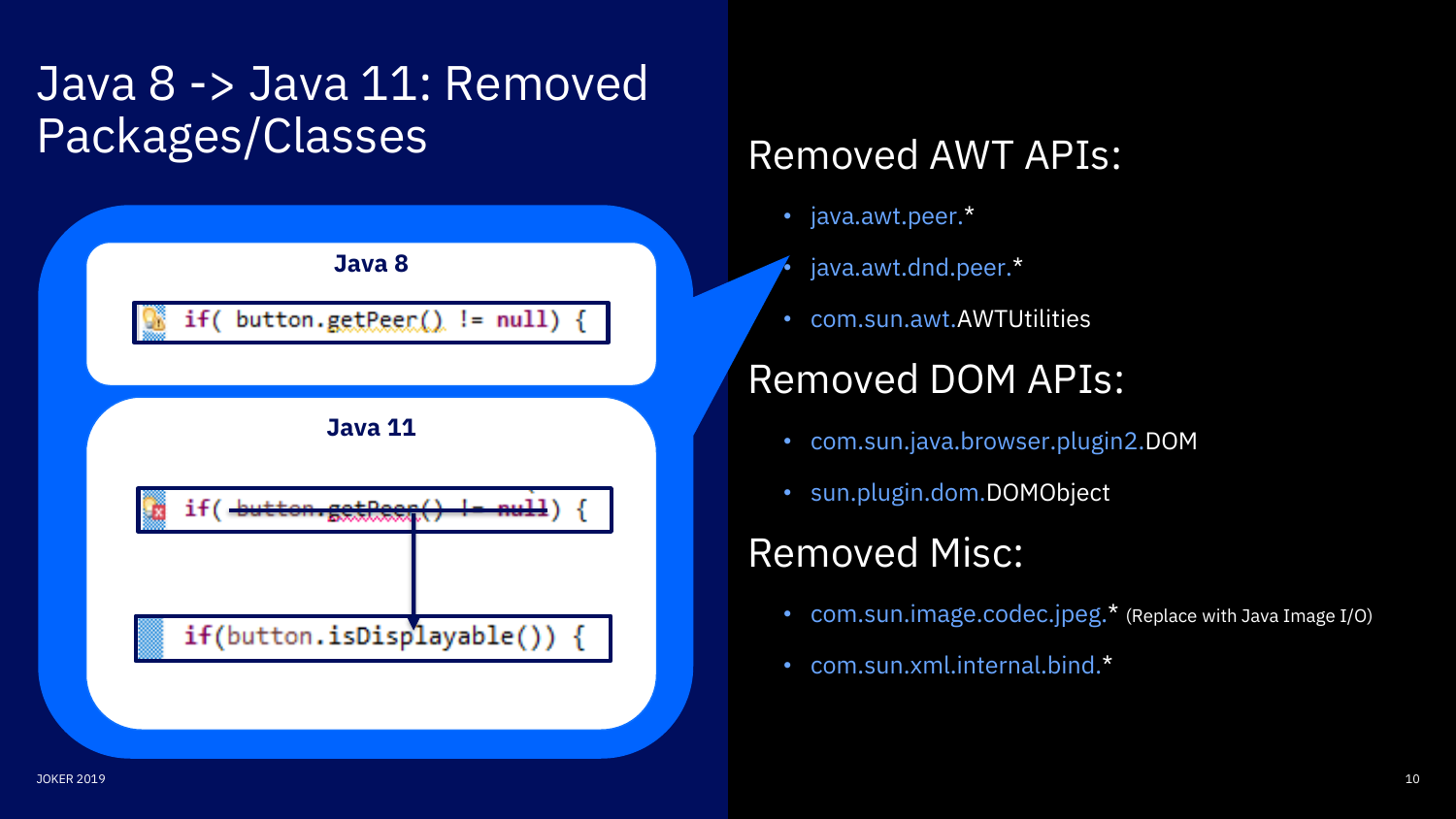# Java 8 -> Java 11: Removed Packages/Classes



## Removed AWT APIs:

- java.awt.peer.\*
- java.awt.dnd.peer.\*
- com.sun.awt.AWTUtilities

### Removed DOM APIs:

- com.sun.java.browser.plugin2.DOM
- sun.plugin.dom.DOMObject

## Removed Misc:

- com.sun.image.codec.jpeg.\* (Replace with Java Image I/O)
- com.sun.xml.internal.bind.\*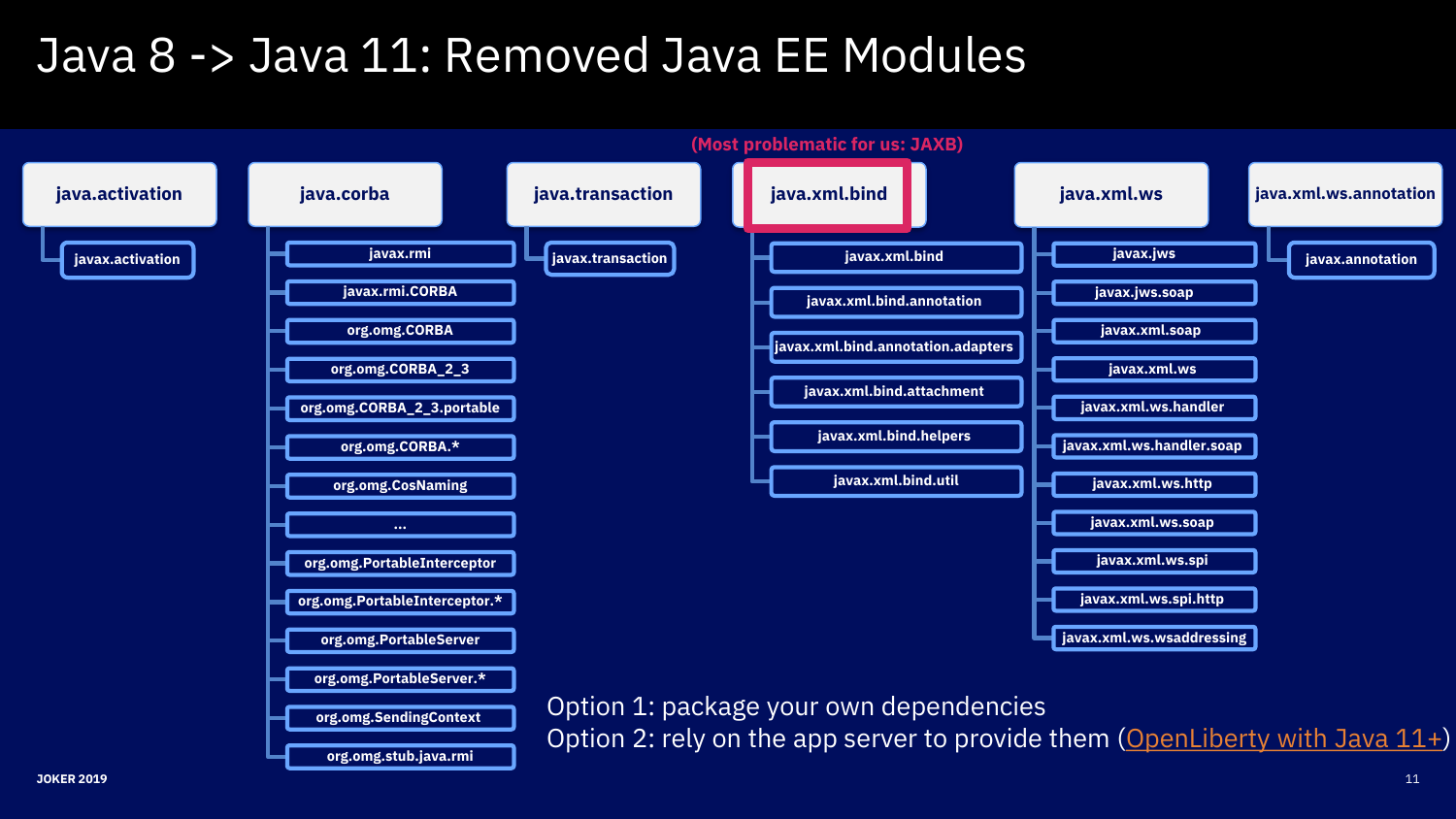# Java 8 -> Java 11: Removed Java EE Modules

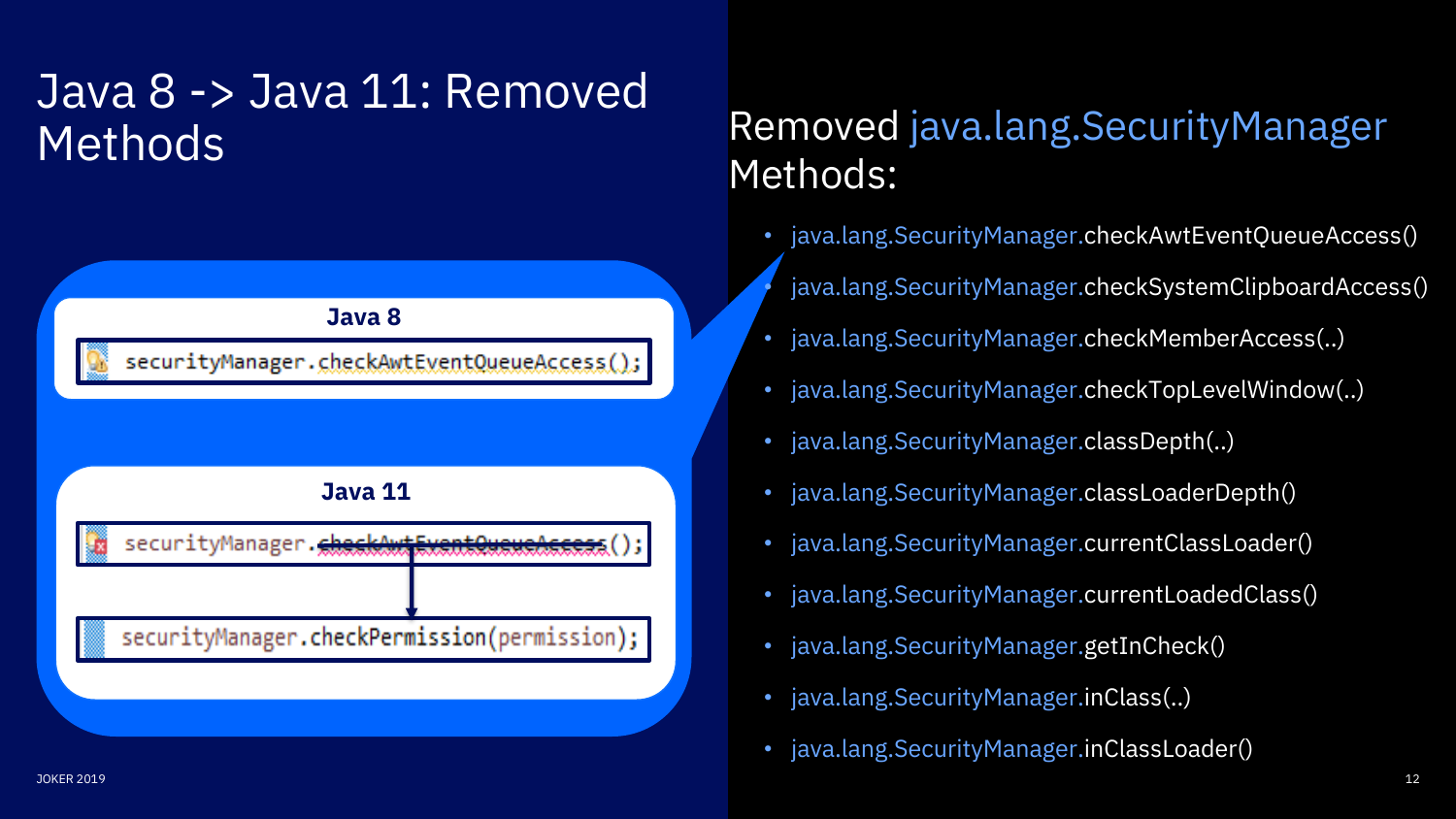# Java 8 -> Java 11: Removed **Methods**



## Removed java.lang.SecurityManager Methods:

- java.lang.SecurityManager.checkAwtEventQueueAccess()
- java.lang.SecurityManager.checkSystemClipboardAccess()
- java.lang.SecurityManager.checkMemberAccess(..)
- java.lang.SecurityManager.checkTopLevelWindow(..)
- java.lang.SecurityManager.classDepth(..)
- java.lang.SecurityManager.classLoaderDepth()
- java.lang.SecurityManager.currentClassLoader()
- java.lang.SecurityManager.currentLoadedClass()
- java.lang.SecurityManager.getInCheck()
- java.lang.SecurityManager.inClass(..)
- java.lang.SecurityManager.inClassLoader()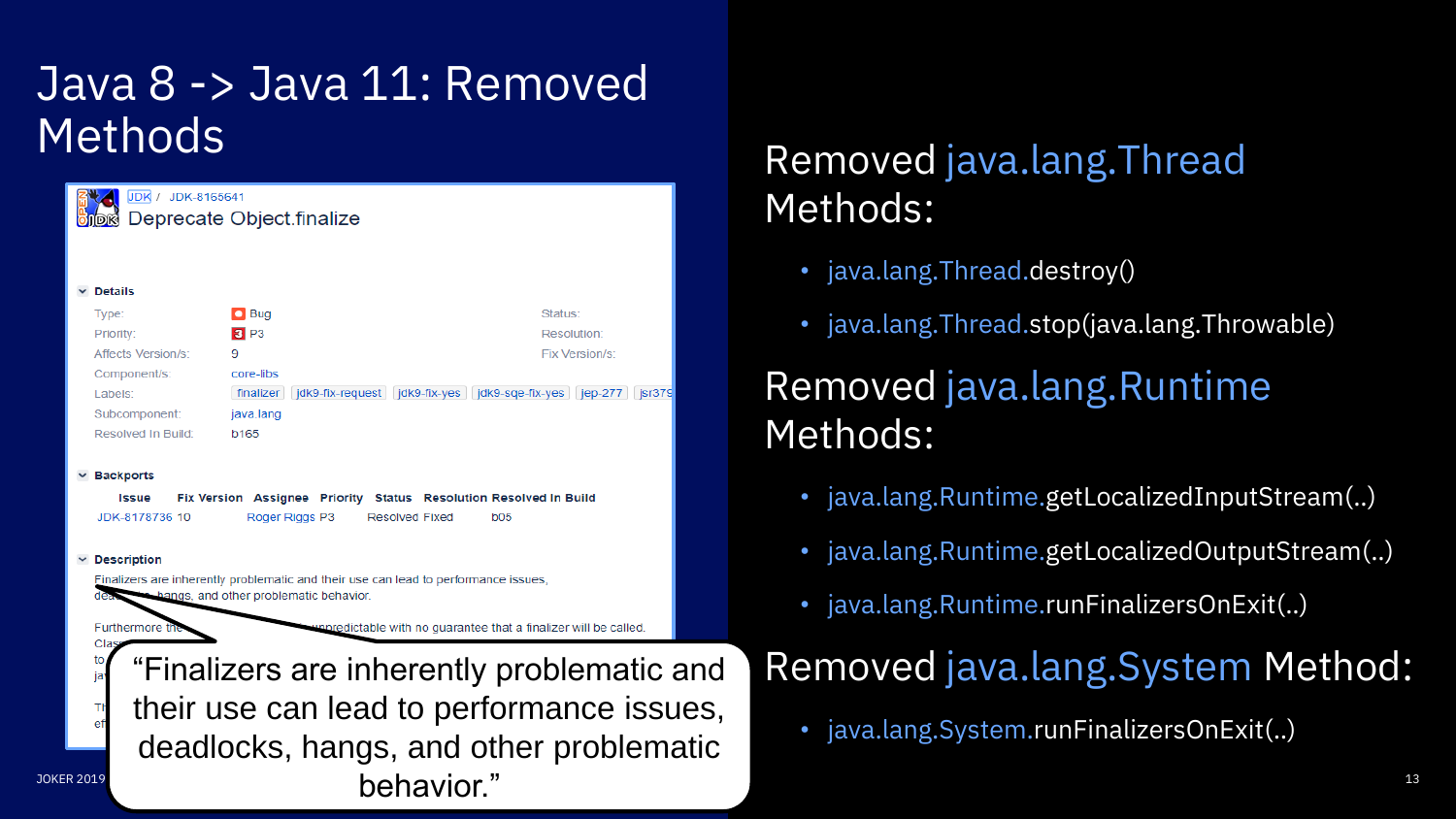# Java 8 -> Java 11: Removed Methods



 $\mathsf{Deh}$ avior."  $\blacksquare$ "Finalizers are inherently problematic and their use can lead to performance issues, deadlocks, hangs, and other problematic

## Removed java.lang.Thread Methods:

- java.lang.Thread.destroy()
- java.lang.Thread.stop(java.lang.Throwable)

## Removed java.lang.Runtime Methods:

- java.lang.Runtime.getLocalizedInputStream(..)
- java.lang.Runtime.getLocalizedOutputStream(..)
- java.lang.Runtime.runFinalizersOnExit(..)

## Removed java.lang.System Method:

• java.lang.System.runFinalizersOnExit(..)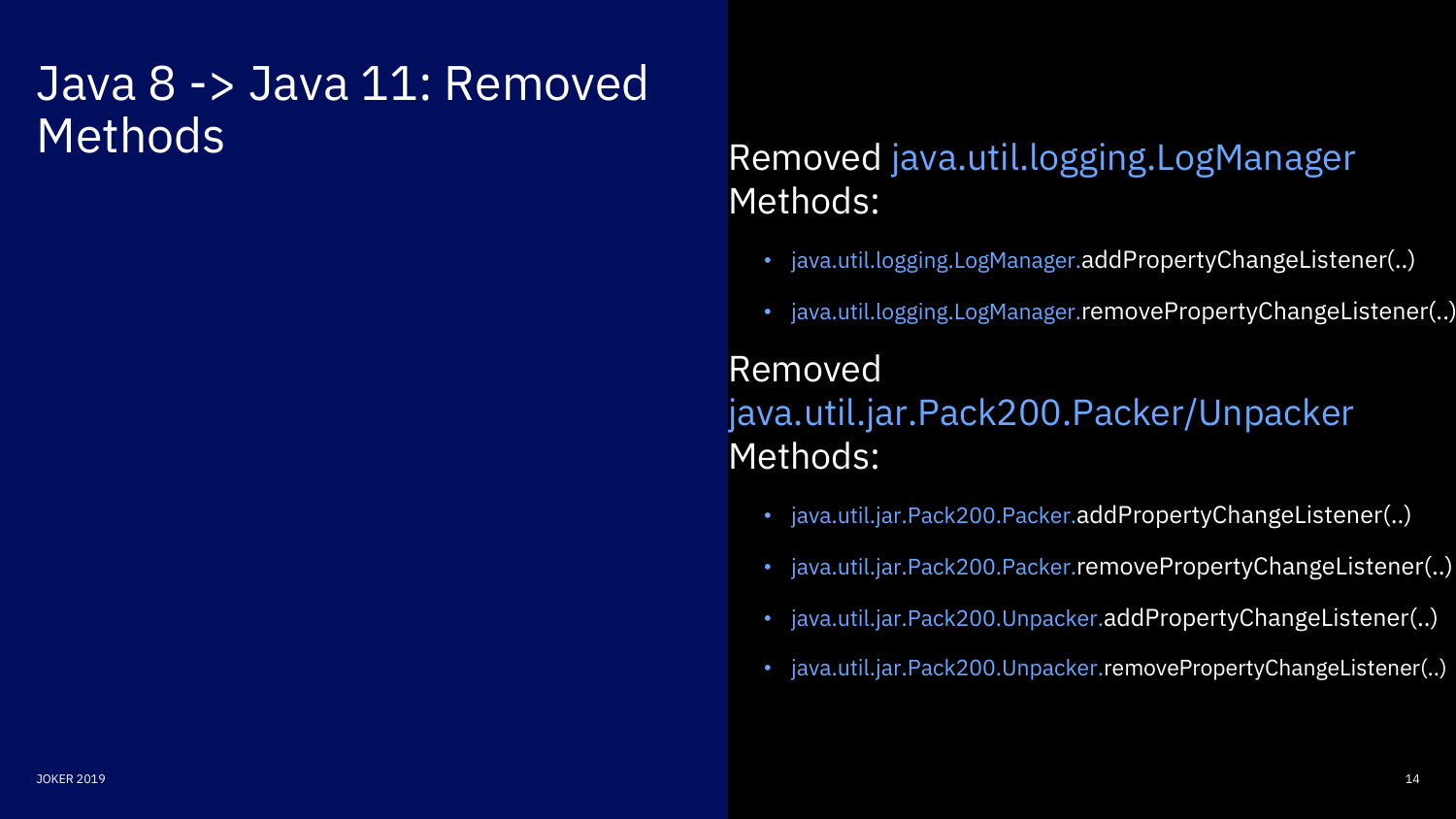# Java 8 -> Java 11: Removed Methods

### Removed java.util.logging.LogManager Methods:

- java.util.logging.LogManager.addPropertyChangeListener(..)
- java.util.logging.LogManager.removePropertyChangeListener(..)

### Removed java.util.jar.Pack200.Packer/Unpacker Methods:

- java.util.jar.Pack200.Packer.addPropertyChangeListener(..)
- java.util.jar.Pack200.Packer.removePropertyChangeListener(..)
- java.util.jar.Pack200.Unpacker.addPropertyChangeListener(..)
- java.util.jar.Pack200.Unpacker.removePropertyChangeListener(..)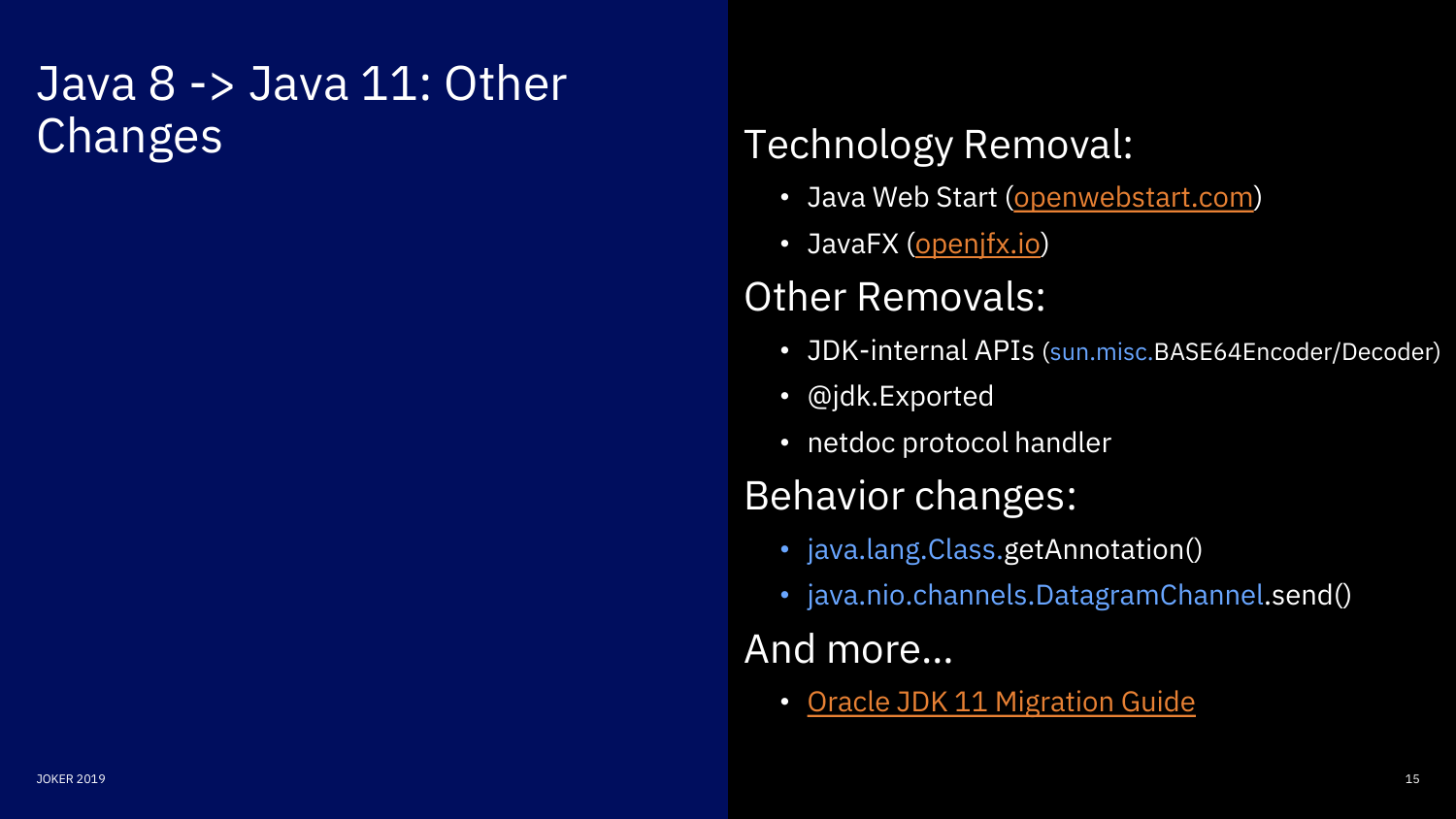# Java 8 -> Java 11: Other Changes

## Technology Removal:

- Java Web Start [\(openwebstart.com](https://openwebstart.com/))
- JavaFX ([openjfx.io\)](https://openjfx.io/)

## Other Removals:

- JDK-internal APIs (sun.misc.BASE64Encoder/Decoder)
- @jdk.Exported
- netdoc protocol handler

## Behavior changes:

- java.lang.Class.getAnnotation()
- java.nio.channels.DatagramChannel.send()

### And more…

• [Oracle JDK 11 Migration Guide](https://docs.oracle.com/en/java/javase/11/migrate/index.html)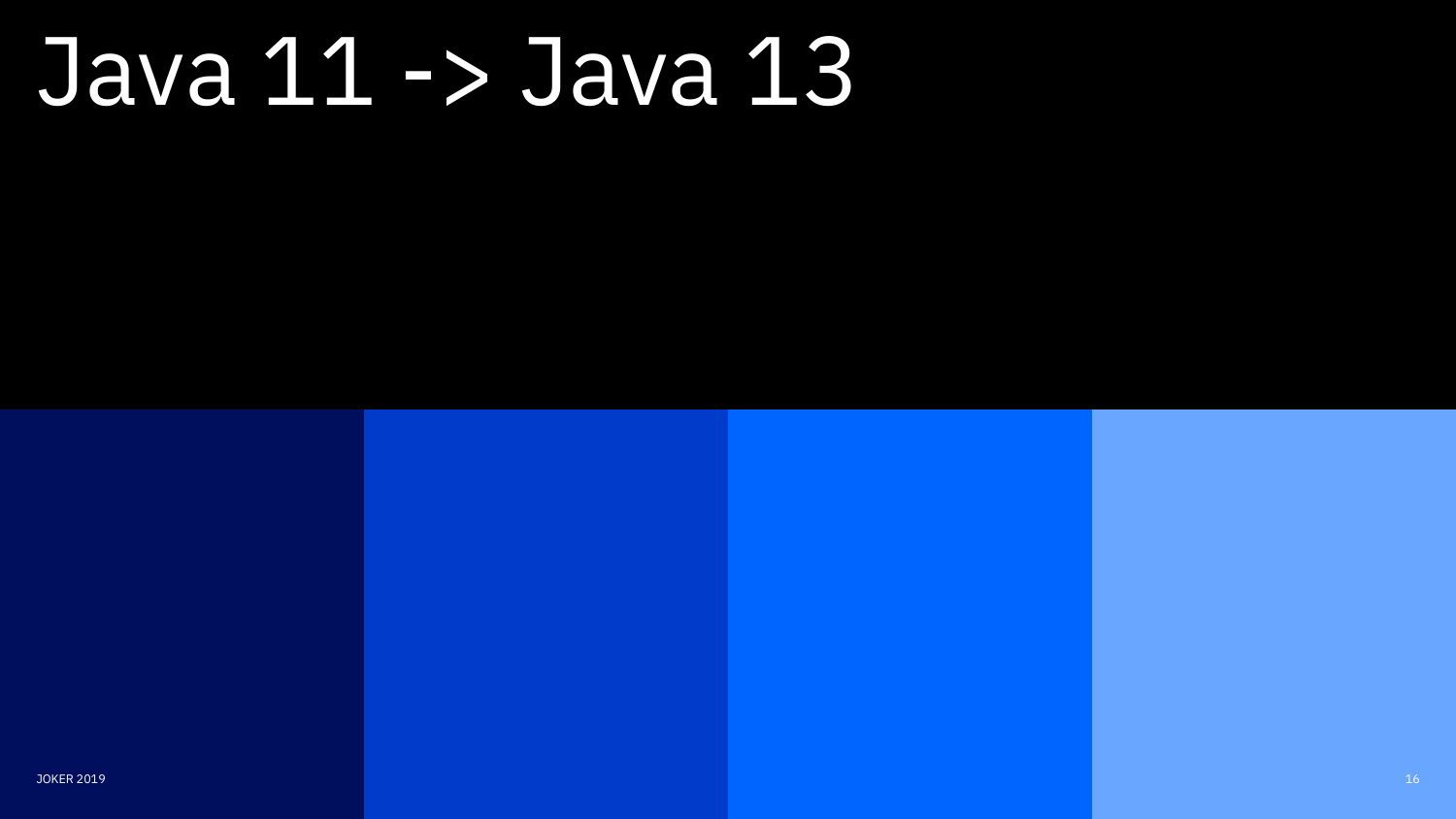# Java 11 -> Java 13

JOKER 2019 **18 November 2018 18:00 18:00 18:00 18:00 18:00 18:00 18:00 18:00 18:00 18:00 16:00 16:00 16:00 16:00 16:00 16:00 16:00 16:00 16:00 16:00 16:00 16:00 16:00 16:00 16:00 16:00 1**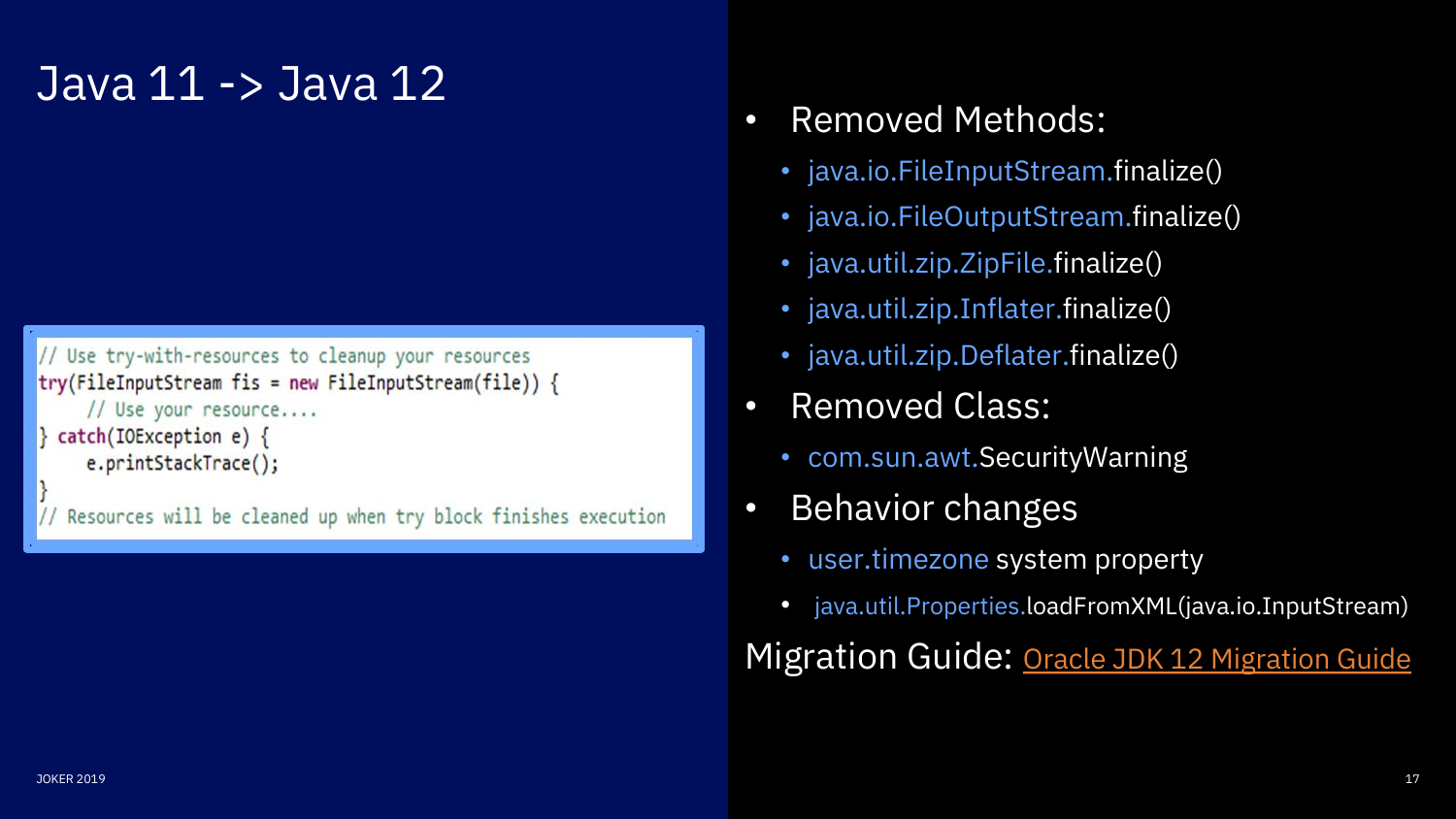# Java 11 -> Java 12

```
// Use try-with-resources to cleanup your resources
try(FileInputStream fis = new FileInputStream(file)) {
     // Use your resource....
 catch(IOException e) {
     e.printStackTrace();
 Resources will be cleaned up when try block finishes execution
```
- Removed Methods:
	- java.io.FileInputStream.finalize()
	- java.io.FileOutputStream.finalize()
	- java.util.zip.ZipFile.finalize()
	- java.util.zip.Inflater.finalize()
	- java.util.zip.Deflater.finalize()
- Removed Class:
	- com.sun.awt.SecurityWarning
- Behavior changes
	- user.timezone system property
	- java.util.Properties.loadFromXML(java.io.InputStream)

Migration Guide: [Oracle JDK 12 Migration Guide](https://docs.oracle.com/en/java/javase/12/migrate/index.html)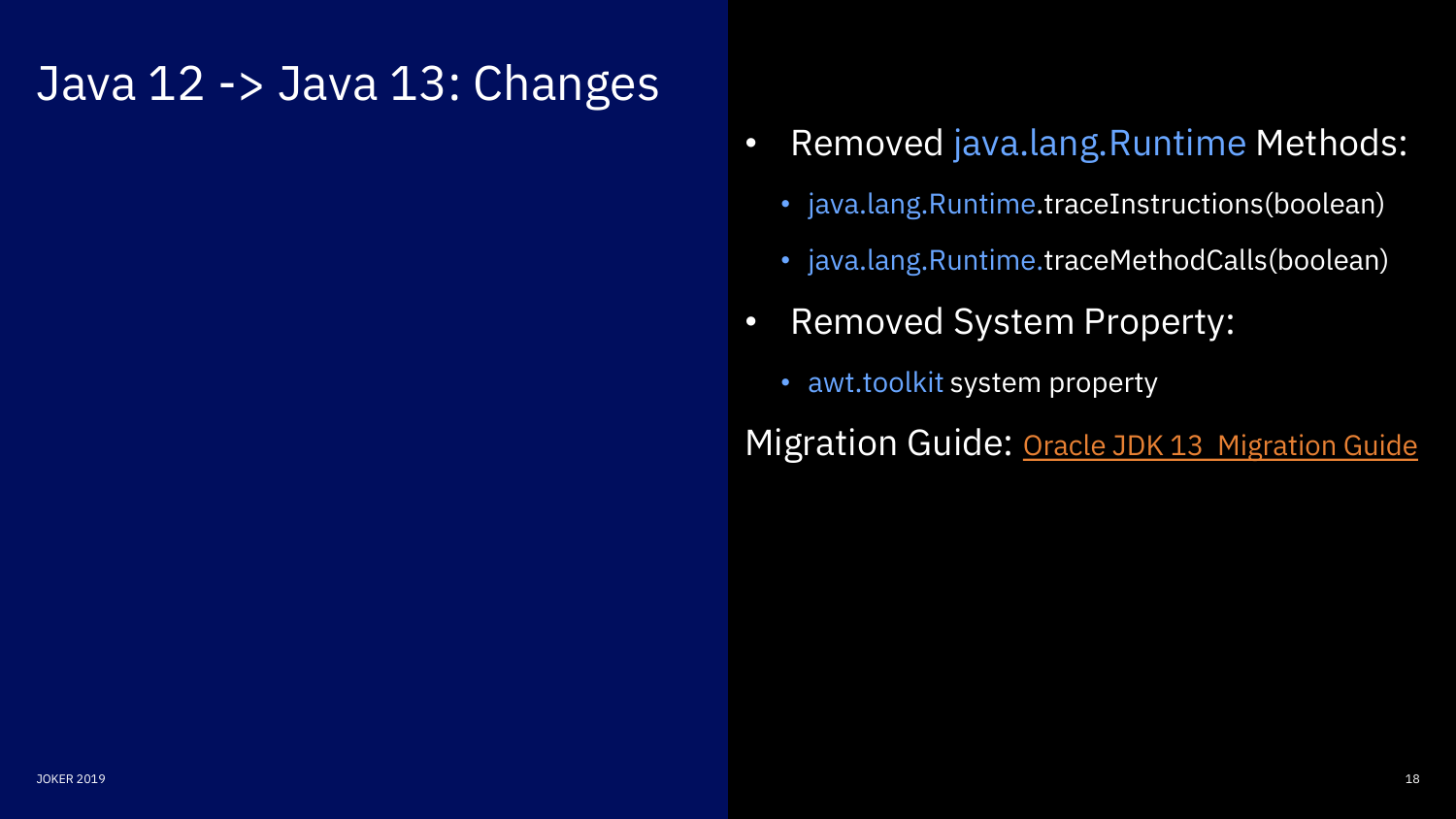## Java 12 -> Java 13: Changes

- Removed java.lang.Runtime Methods:
	- java.lang.Runtime.traceInstructions(boolean)
	- java.lang.Runtime.traceMethodCalls(boolean)
- Removed System Property:
	- awt.toolkit system property

Migration Guide: [Oracle JDK 13 Migration Guide](https://docs.oracle.com/en/java/javase/13/migrate/index.html)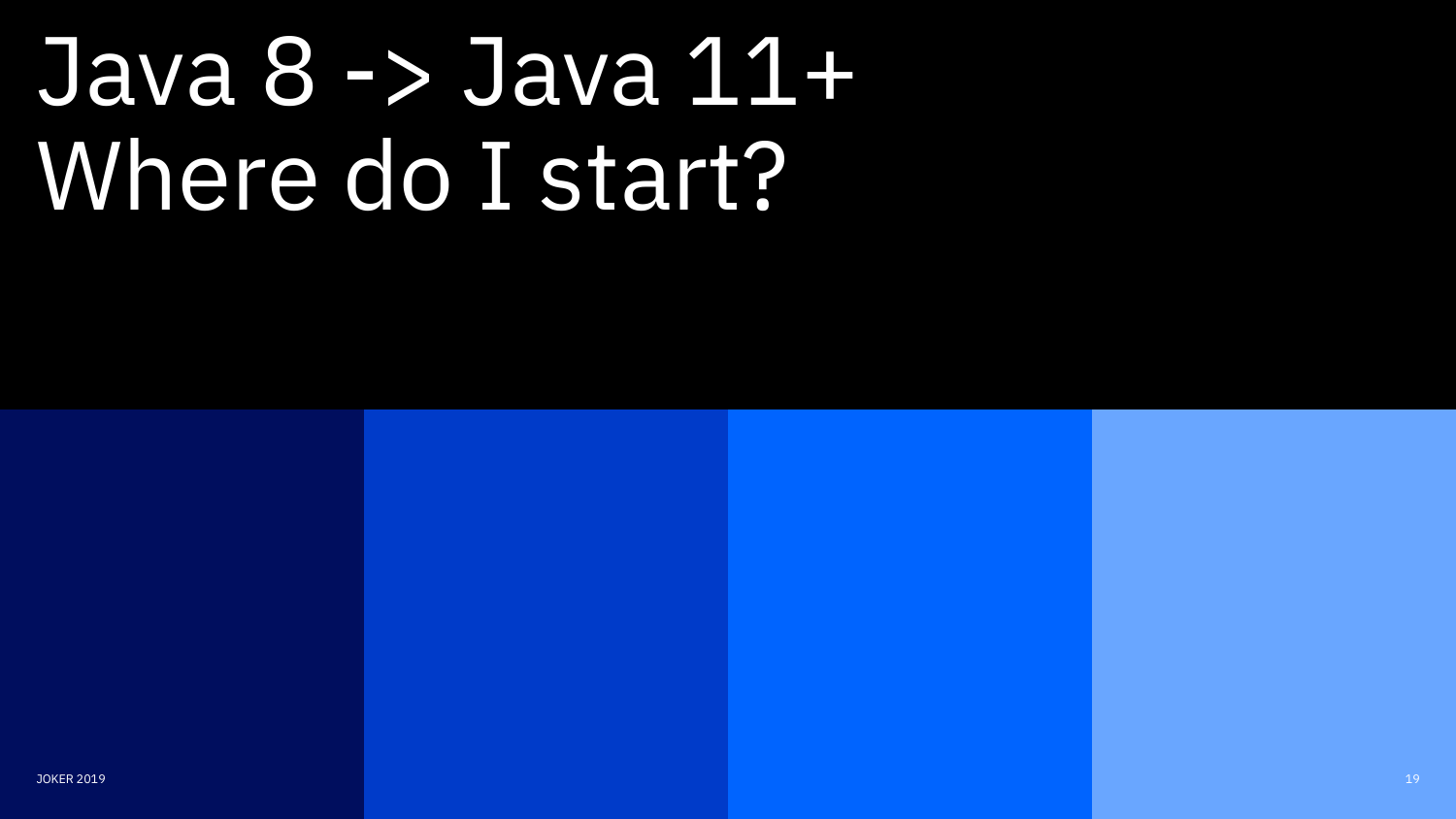# Java 8 -> Java 11+ Where do I start?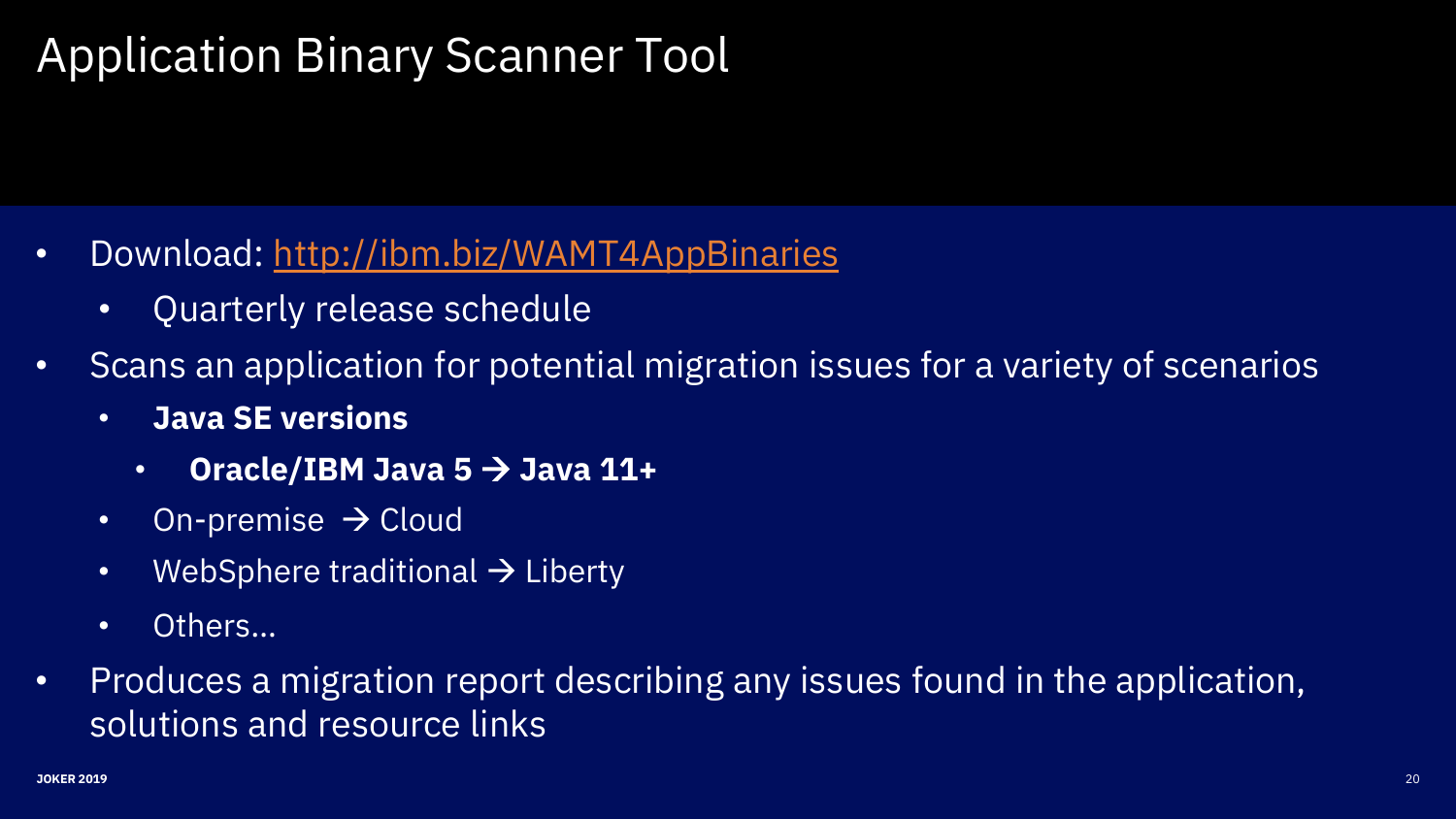# Application Binary Scanner Tool

- Download:<http://ibm.biz/WAMT4AppBinaries>
	- Quarterly release schedule
- Scans an application for potential migration issues for a variety of scenarios
	- **Java SE versions** 
		- **Oracle/IBM Java 5** → **Java 11+**
	- On-premise  $\rightarrow$  Cloud
	- WebSphere traditional  $\rightarrow$  Liberty
	- Others...
- Produces a migration report describing any issues found in the application, solutions and resource links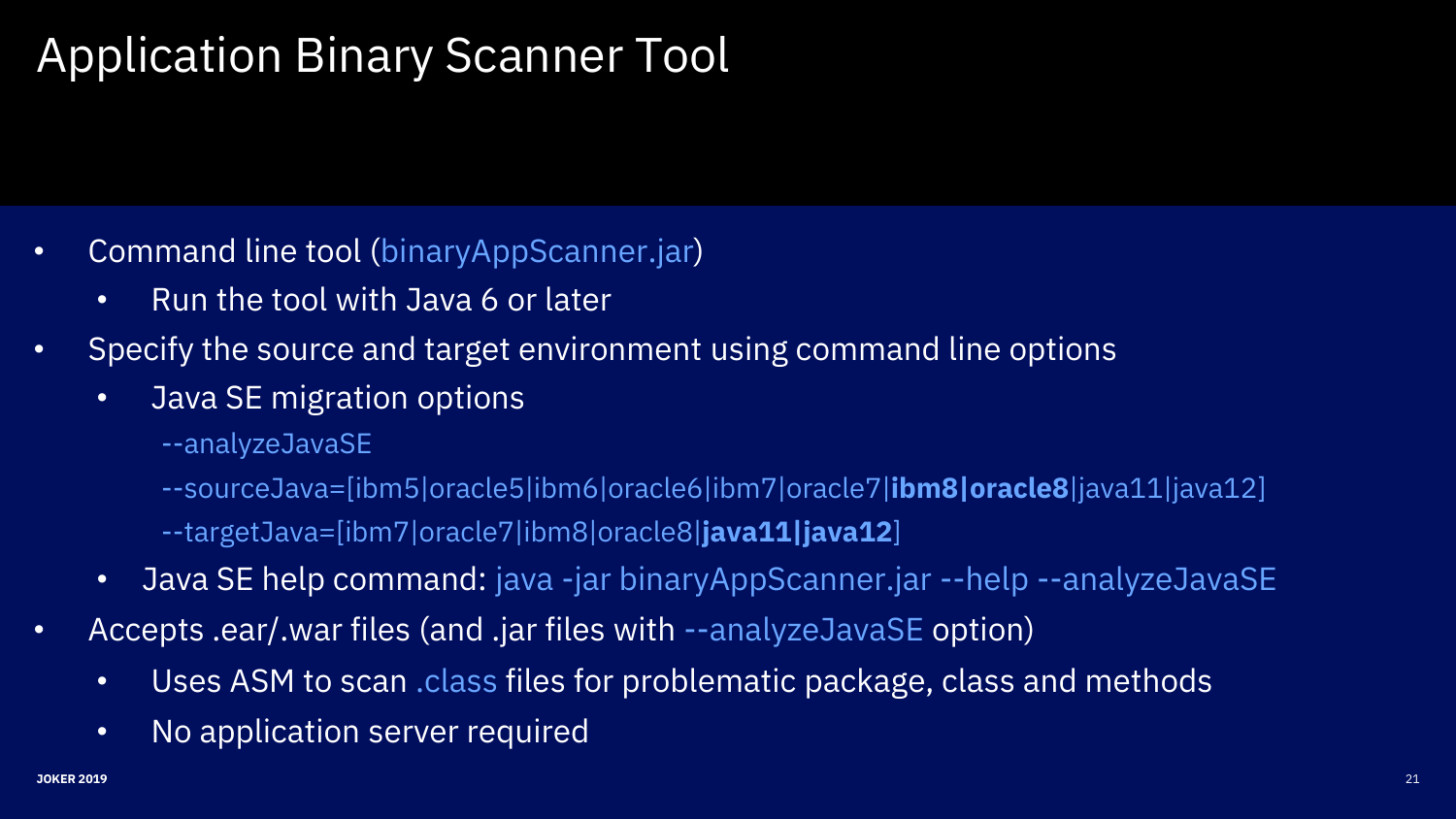# Application Binary Scanner Tool

- Command line tool (binaryAppScanner.jar)
	- Run the tool with Java 6 or later
- Specify the source and target environment using command line options
	- Java SE migration options
		- --analyzeJavaSE
		- --sourceJava=[ibm5|oracle5|ibm6|oracle6|ibm7|oracle7|**ibm8|oracle8**|java11|java12] --targetJava=[ibm7|oracle7|ibm8|oracle8|**java11|java12**]
	- Java SE help command: java -jar binaryAppScanner.jar --help --analyzeJavaSE
- Accepts .ear/.war files (and .jar files with --analyzeJavaSE option)
	- Uses ASM to scan .class files for problematic package, class and methods
	- No application server required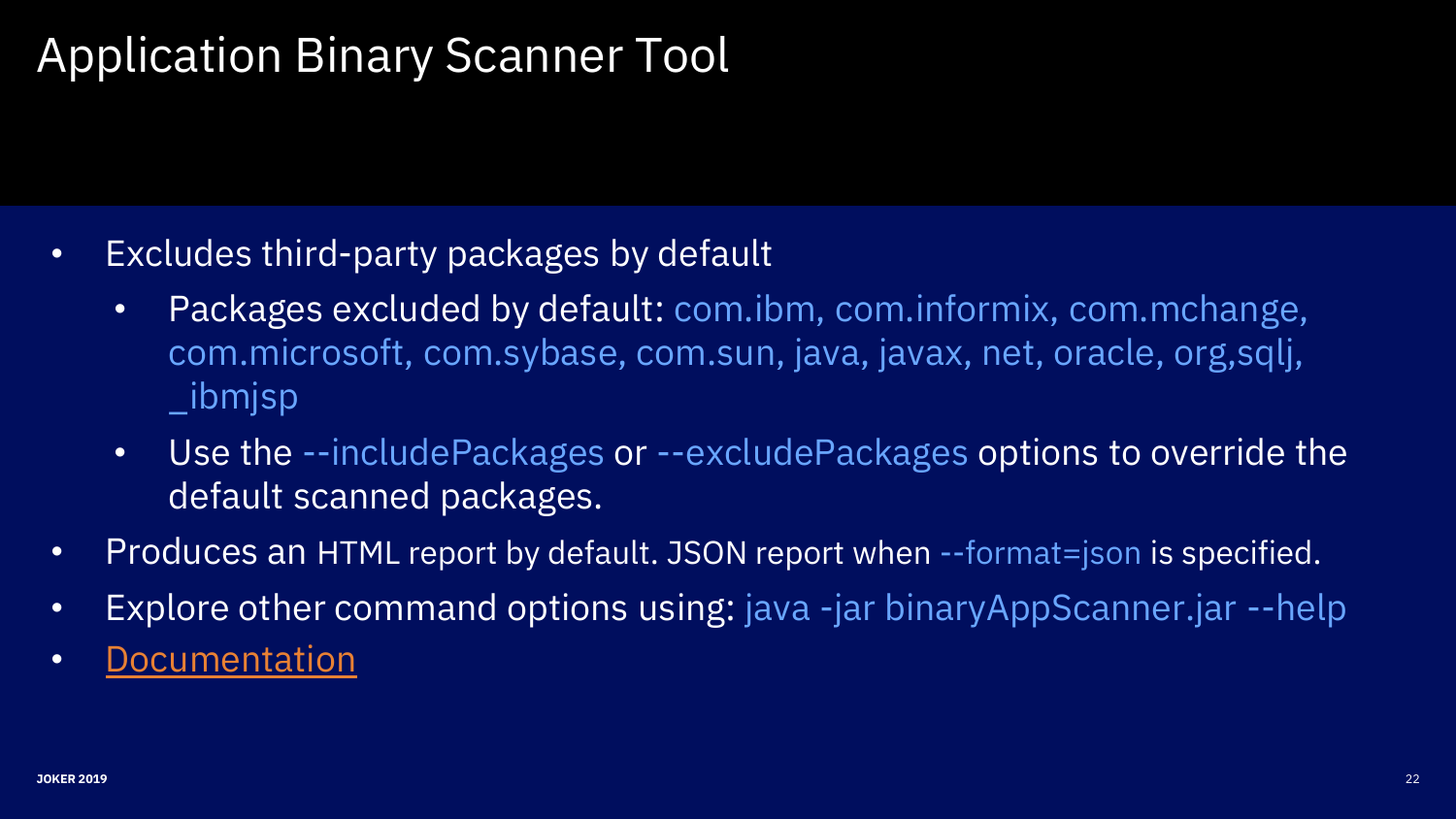# Application Binary Scanner Tool

- Excludes third-party packages by default
	- Packages excluded by default: com.ibm, com.informix, com.mchange, com.microsoft, com.sybase, com.sun, java, javax, net, oracle, org,sqlj, \_ibmjsp
	- Use the --includePackages or --excludePackages options to override the default scanned packages.
- Produces an HTML report by default. JSON report when --format=json is specified.
- Explore other command options using: java -jar binaryAppScanner.jar --help
- [Documentation](https://public.dhe.ibm.com/ibmdl/export/pub/software/websphere/wasdev/downloads/wamt/ApplicationBinaryTP/MigrationToolkit_Application_Binaries_en_US.pdf)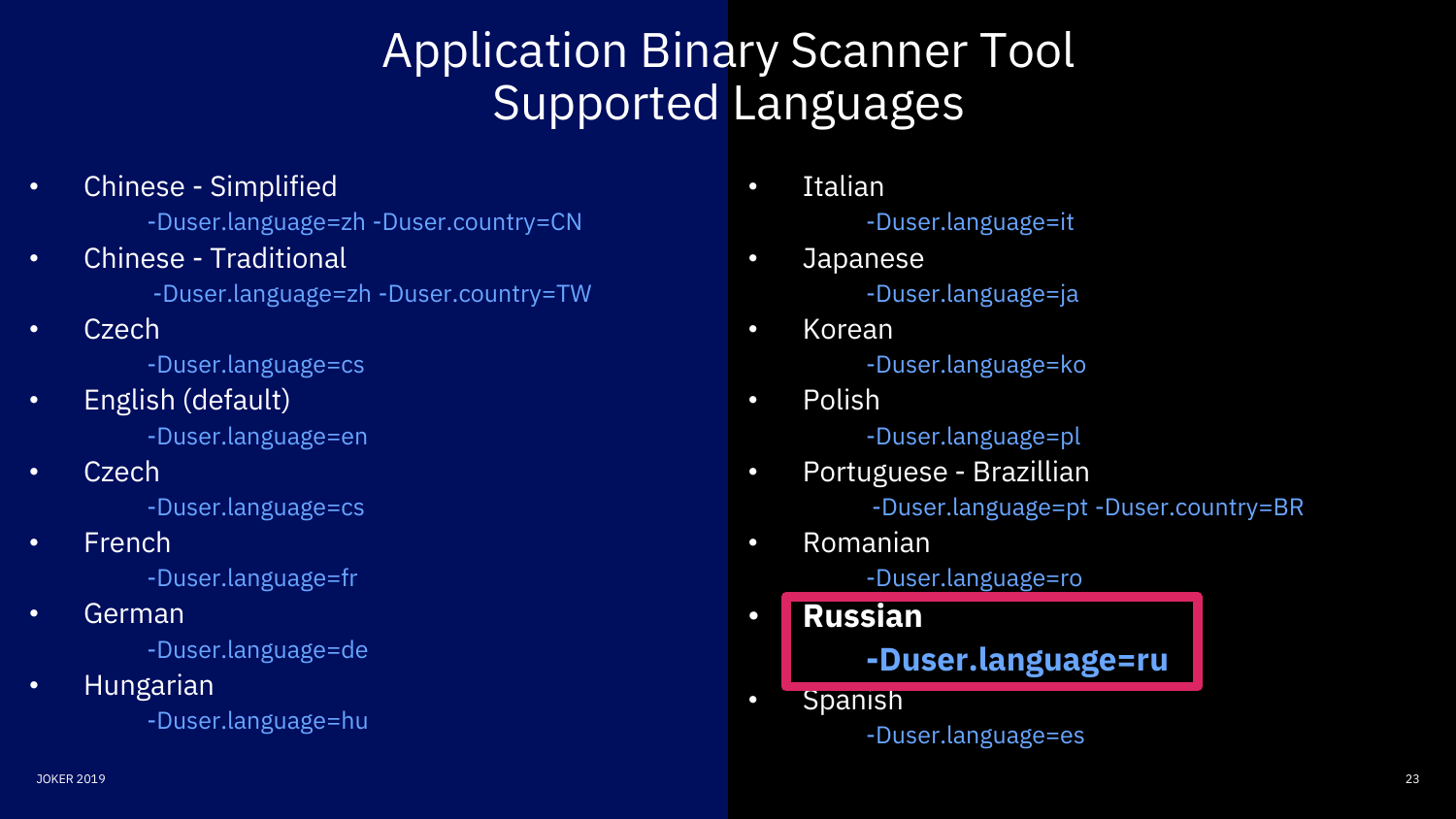# Application Binary Scanner Tool Supported Languages

• Chinese - Simplified

-Duser.language=zh -Duser.country=CN

• Chinese - Traditional

-Duser.language=zh -Duser.country=TW

• Czech

-Duser.language=cs

• English (default)

-Duser.language=en

• Czech

-Duser.language=cs

• French

-Duser.language=fr

• German

-Duser.language=de

• Hungarian

-Duser.language=hu

- Italian -Duser.language=it
- Japanese -Duser.language=ja
- Korean -Duser.language=ko
- Polish -Duser.language=pl
- Portuguese Brazillian -Duser.language=pt -Duser.country=BR
- Romanian

-Duser.language=ro

- **Russian -Duser.language=ru**
- Spanish

-Duser.language=es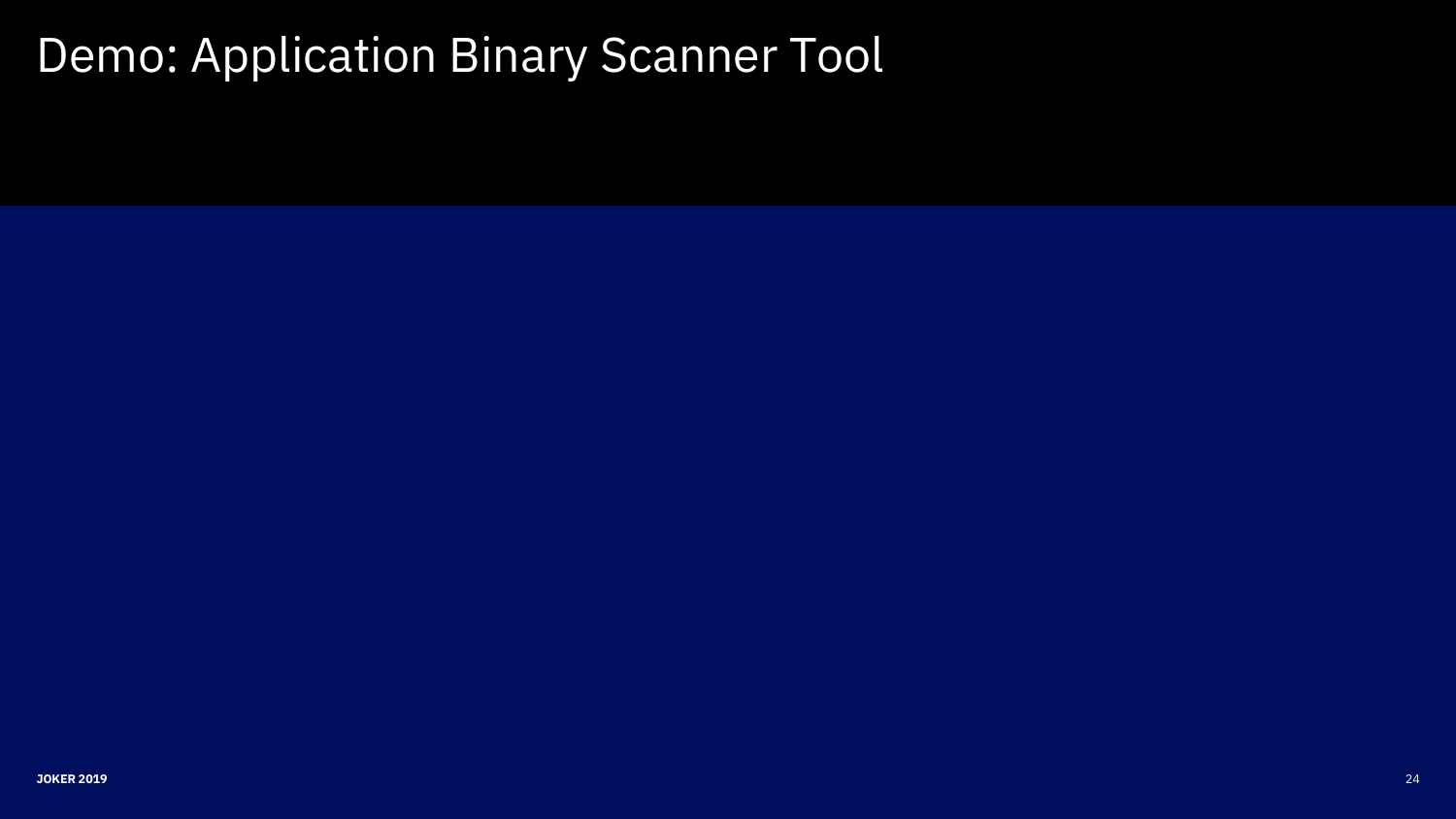# Demo: Application Binary Scanner Tool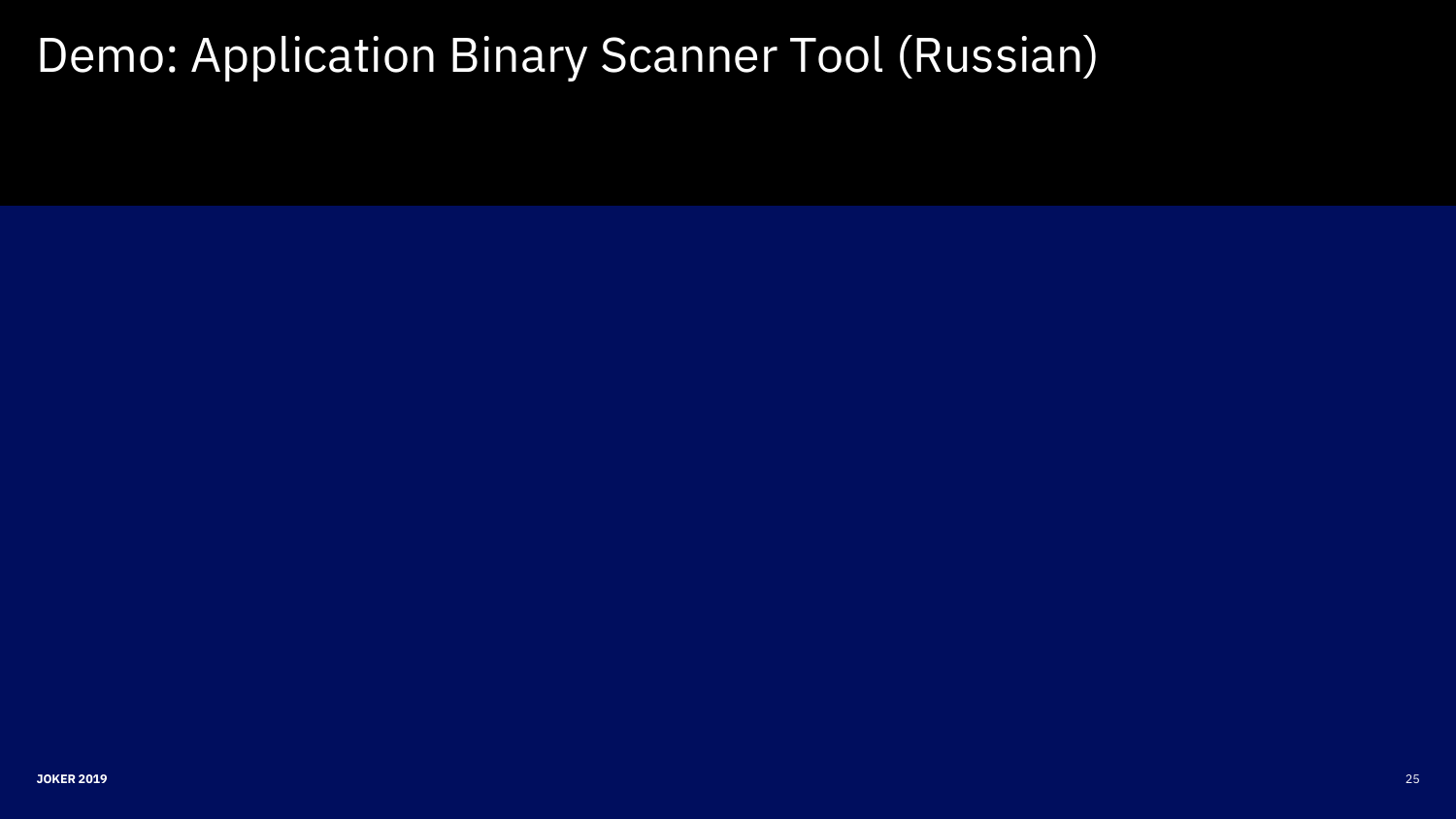# Demo: Application Binary Scanner Tool (Russian)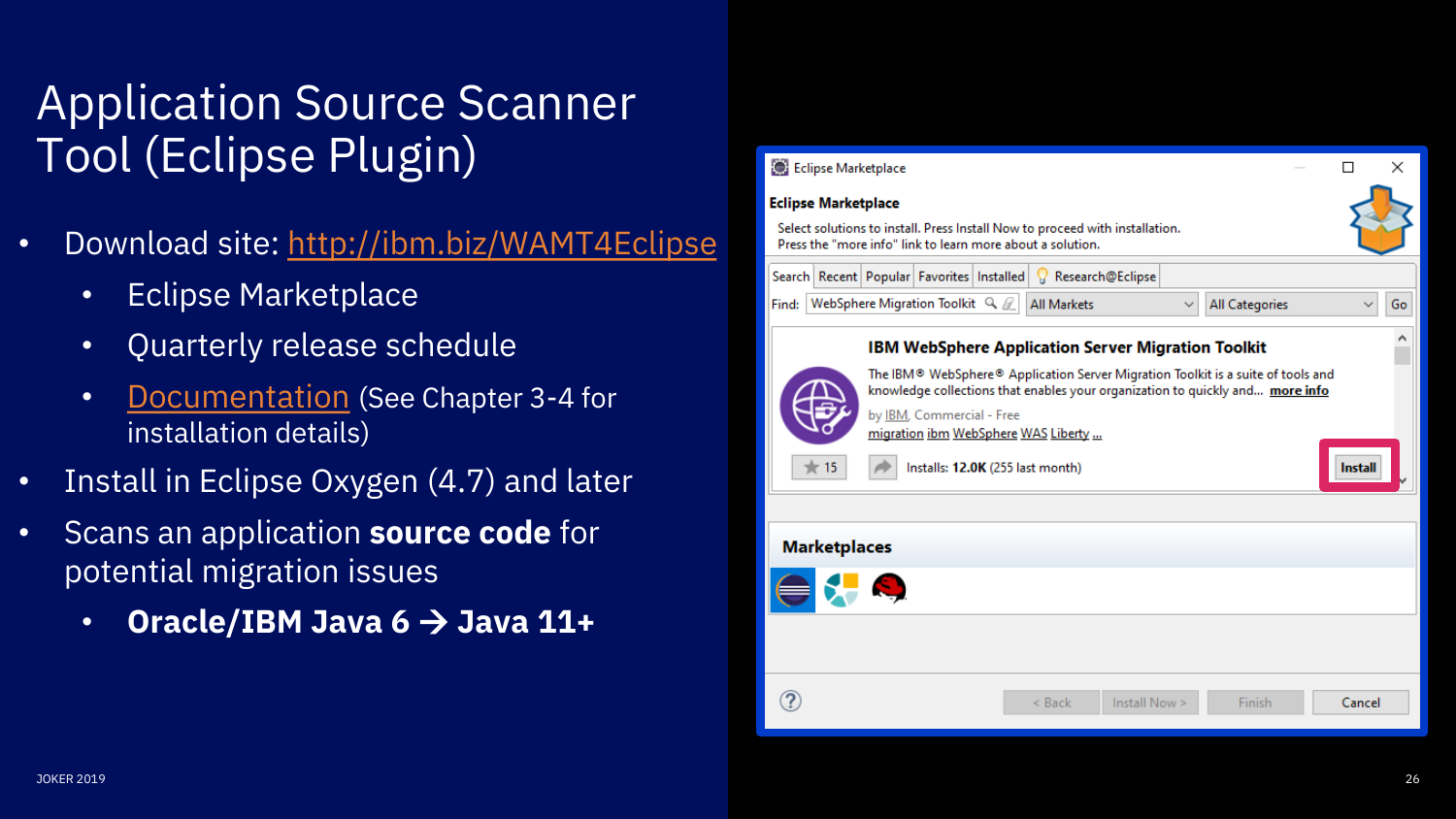# Application Source Scanner Tool (Eclipse Plugin)

- Download site:<http://ibm.biz/WAMT4Eclipse>
	- Eclipse Marketplace
	- Quarterly release schedule
	- [Documentation](https://public.dhe.ibm.com/ibmdl/export/pub/software/websphere/wasdev/downloads/wamt/amt/MigrationToolkit_en_US.pdf) (See Chapter 3-4 for installation details)
- Install in Eclipse Oxygen (4.7) and later
- Scans an application **source code** for potential migration issues
	- **Oracle/IBM Java 6** → **Java 11+**

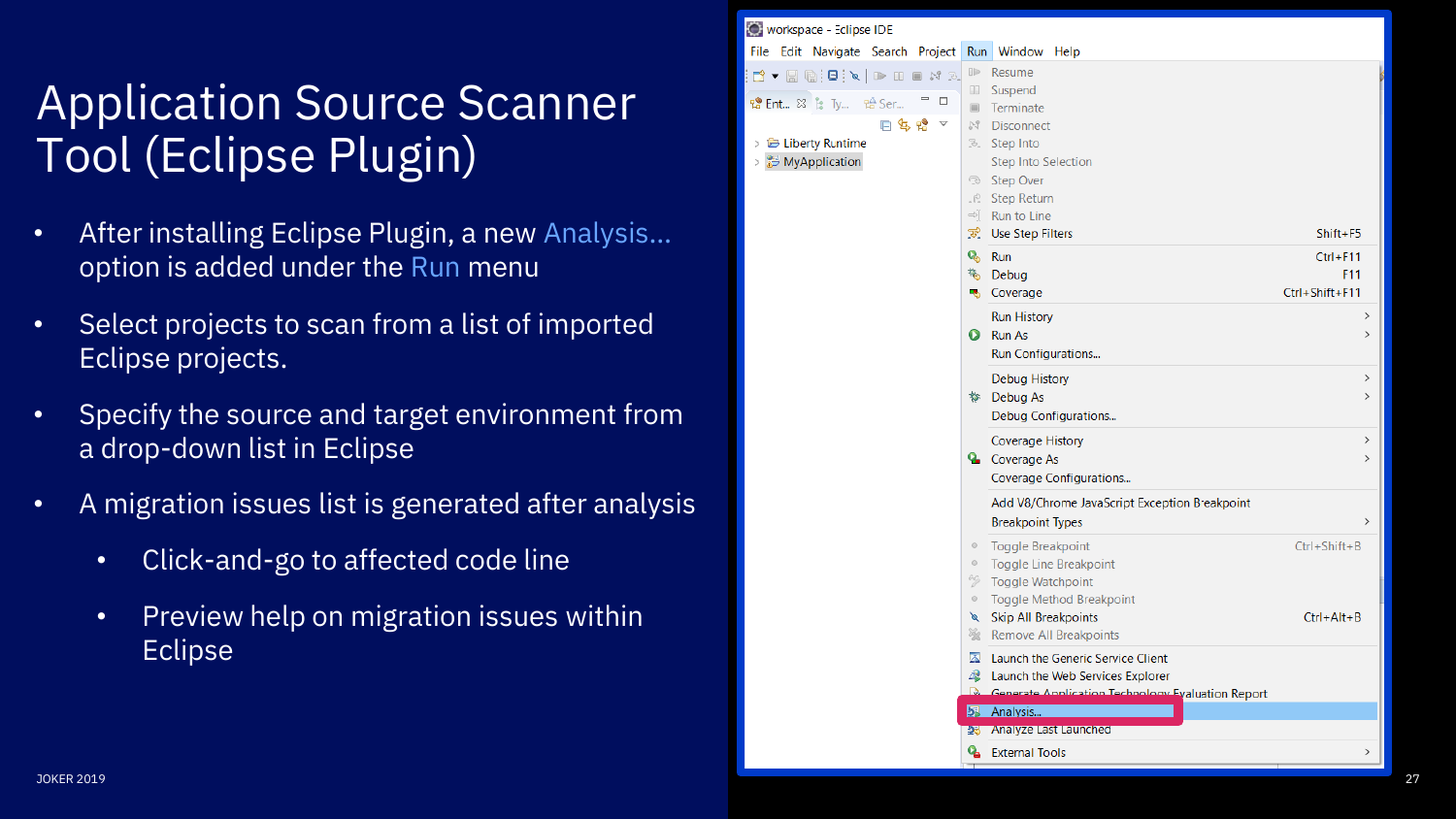# Application Source Scanner Tool (Eclipse Plugin)

- option is added under the Run menu
- Select projects to scan from a list of imported Eclipse projects.
- Specify the source and target environment from a drop -down list in Eclipse
- A migration issues list is generated after analysis
	- Click-and-go to affected code line
	- Preview help on migration issues within Eclipse

|                                                                                                         | Workspace - Eclipse IDE                                                                                                                                                                                                            |  |  |
|---------------------------------------------------------------------------------------------------------|------------------------------------------------------------------------------------------------------------------------------------------------------------------------------------------------------------------------------------|--|--|
|                                                                                                         | File Edit Navigate Search Project Run Window Help                                                                                                                                                                                  |  |  |
| <b>Application Source Scanner</b><br><b>Tool (Eclipse Plugin)</b>                                       | Resume<br><b>Suspend</b><br><b>设 Ent</b> ※ % Ty 哈 Ser<br>Terminate<br>日息‼ ▽<br><b>N</b> <sup>1</sup> Disconnect<br>Liberty Runtime<br><b>B.</b> Step Into<br><b>E</b> MyApplication<br><b>Step Into Selection</b><br>Step Over     |  |  |
| After installing Eclipse Plugin, a new Analysis<br>option is added under the Run menu                   | . <i>R</i> Step Return<br>$\Rightarrow$ Run to Line<br><b>E</b> Use Step Filters<br>Shift+F5<br>& Run<br>$Ctrl + F11$<br><b>秘</b> Debua<br>F11                                                                                     |  |  |
| Select projects to scan from a list of imported<br>$\bullet$<br>Eclipse projects.                       | <b>B</b> Coverage<br>Ctrl+Shift+F11<br><b>Run History</b><br><b>O</b> Run As<br>Run Configurations<br><b>Debug History</b><br>$\rightarrow$                                                                                        |  |  |
| Specify the source and target environment from<br>a drop-down list in Eclipse                           | t Debug As<br>Debug Configurations<br><b>Coverage History</b><br>$\rightarrow$<br><b>Q</b> Coverage As                                                                                                                             |  |  |
| A migration issues list is generated after analysis<br>۰                                                | Coverage Configurations<br>Add V8/Chrome JavaScript Exception Breakpoint<br><b>Breakpoint Types</b>                                                                                                                                |  |  |
| Click-and-go to affected code line<br>$\bullet$<br>Preview help on migration issues within<br>$\bullet$ | <b>Toggle Breakpoint</b><br>$Ctrl + Shift + B$<br><b>Toggle Line Breakpoint</b><br><b>Toggle Watchpoint</b><br><b>Toggle Method Breakpoint</b><br><b>Skip All Breakpoints</b><br>$Ctrl + Alt + B$<br><b>Remove All Breakpoints</b> |  |  |
| Eclipse                                                                                                 | Launch the Generic Service Client<br>Launch the Web Services Explorer<br><b>Generate Annlication Technology Evaluation Report</b><br>Analysis<br><b>25 Analyze Last Launched</b>                                                   |  |  |
|                                                                                                         | <b>&amp;</b> External Tools                                                                                                                                                                                                        |  |  |
| <b>JOKER 2019</b>                                                                                       |                                                                                                                                                                                                                                    |  |  |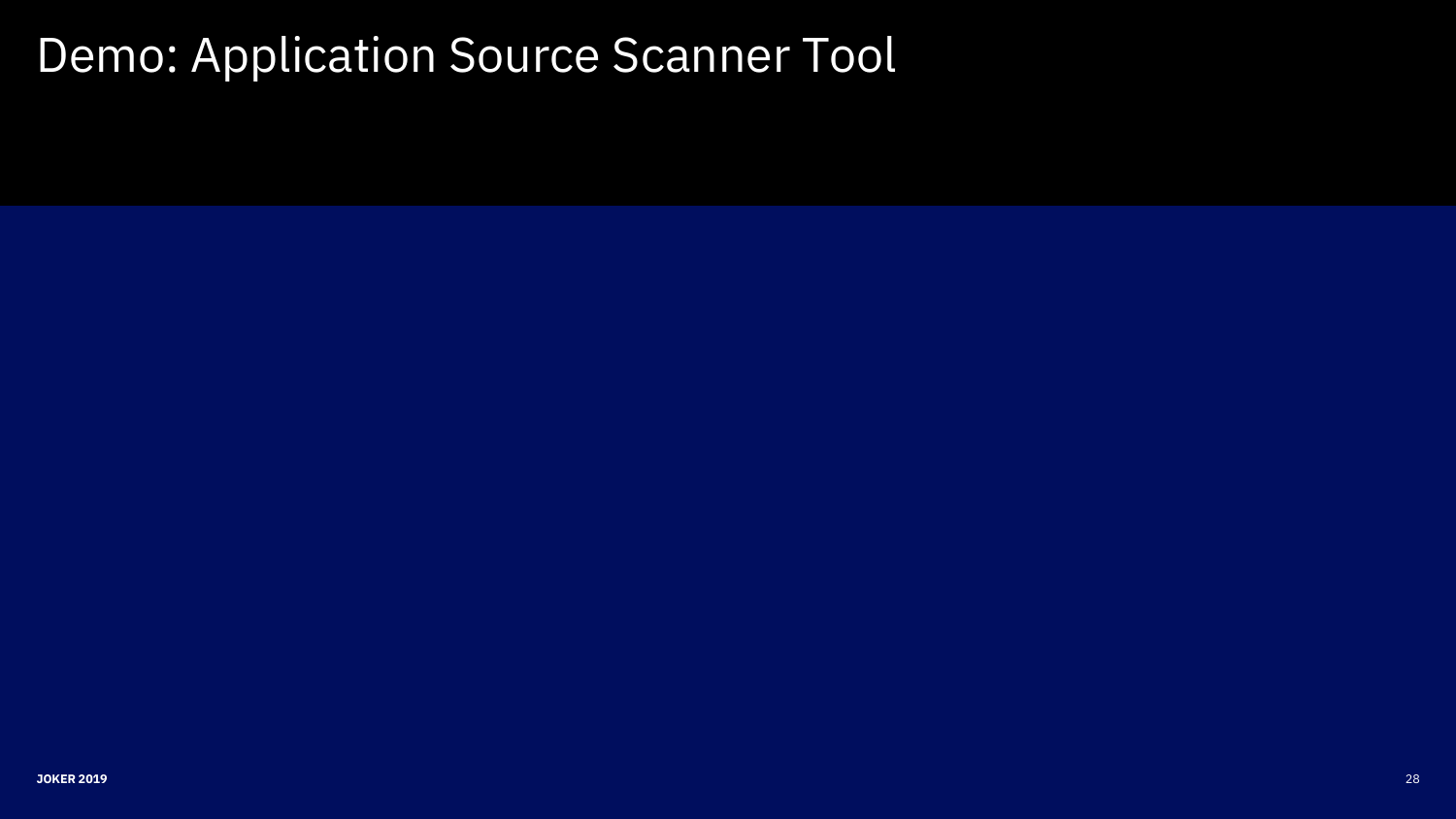# Demo: Application Source Scanner Tool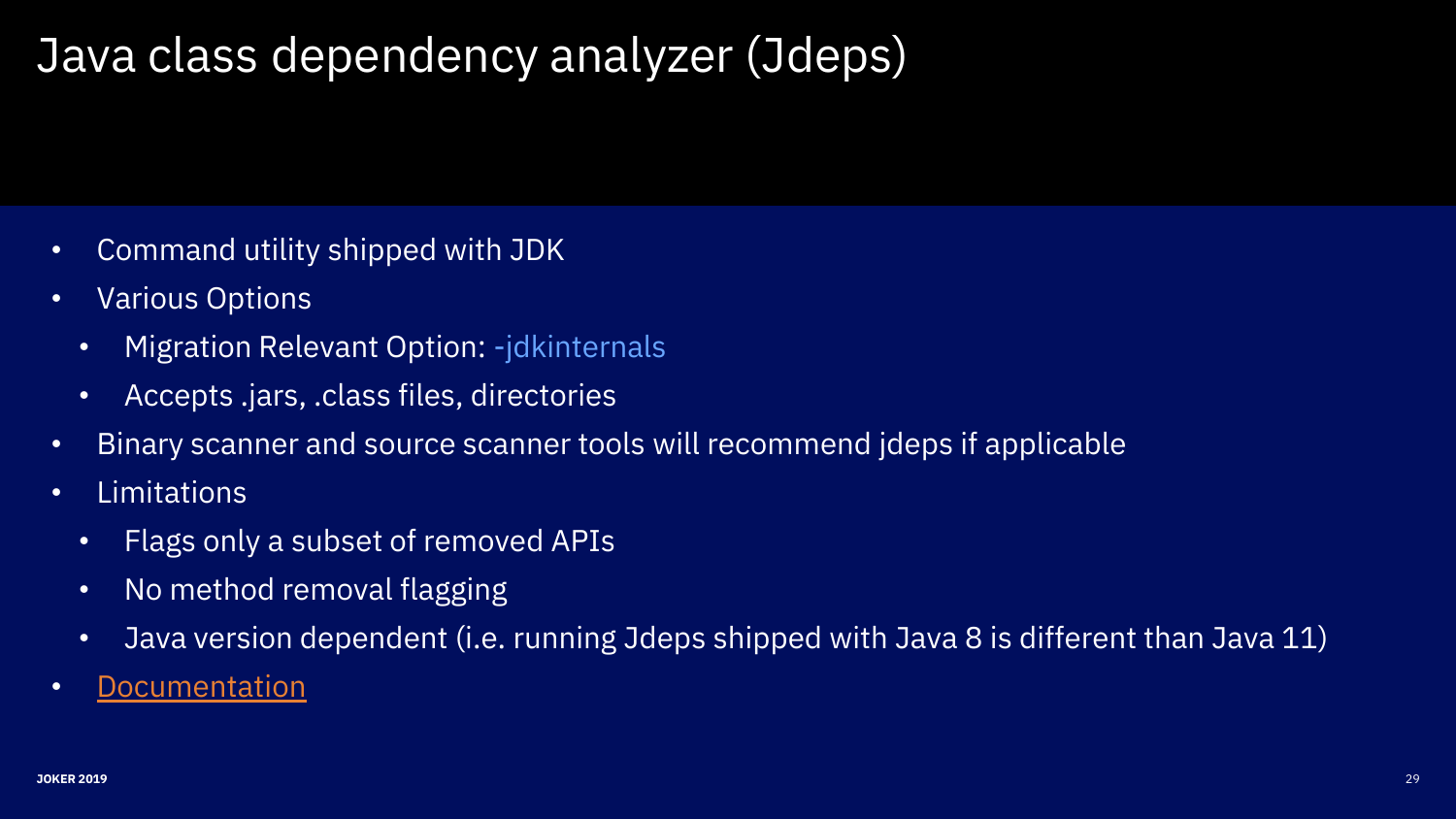# Java class dependency analyzer (Jdeps)

- Command utility shipped with JDK
- Various Options
	- Migration Relevant Option: -jdkinternals
	- Accepts .jars, .class files, directories
- Binary scanner and source scanner tools will recommend jdeps if applicable
- Limitations
	- Flags only a subset of removed APIs
	- No method removal flagging
	- Java version dependent (i.e. running Jdeps shipped with Java 8 is different than Java 11)
- [Documentation](https://docs.oracle.com/en/java/javase/11/tools/jdeps.html#GUID-A543FEBE-908A-49BF-996C-39499367ADB4)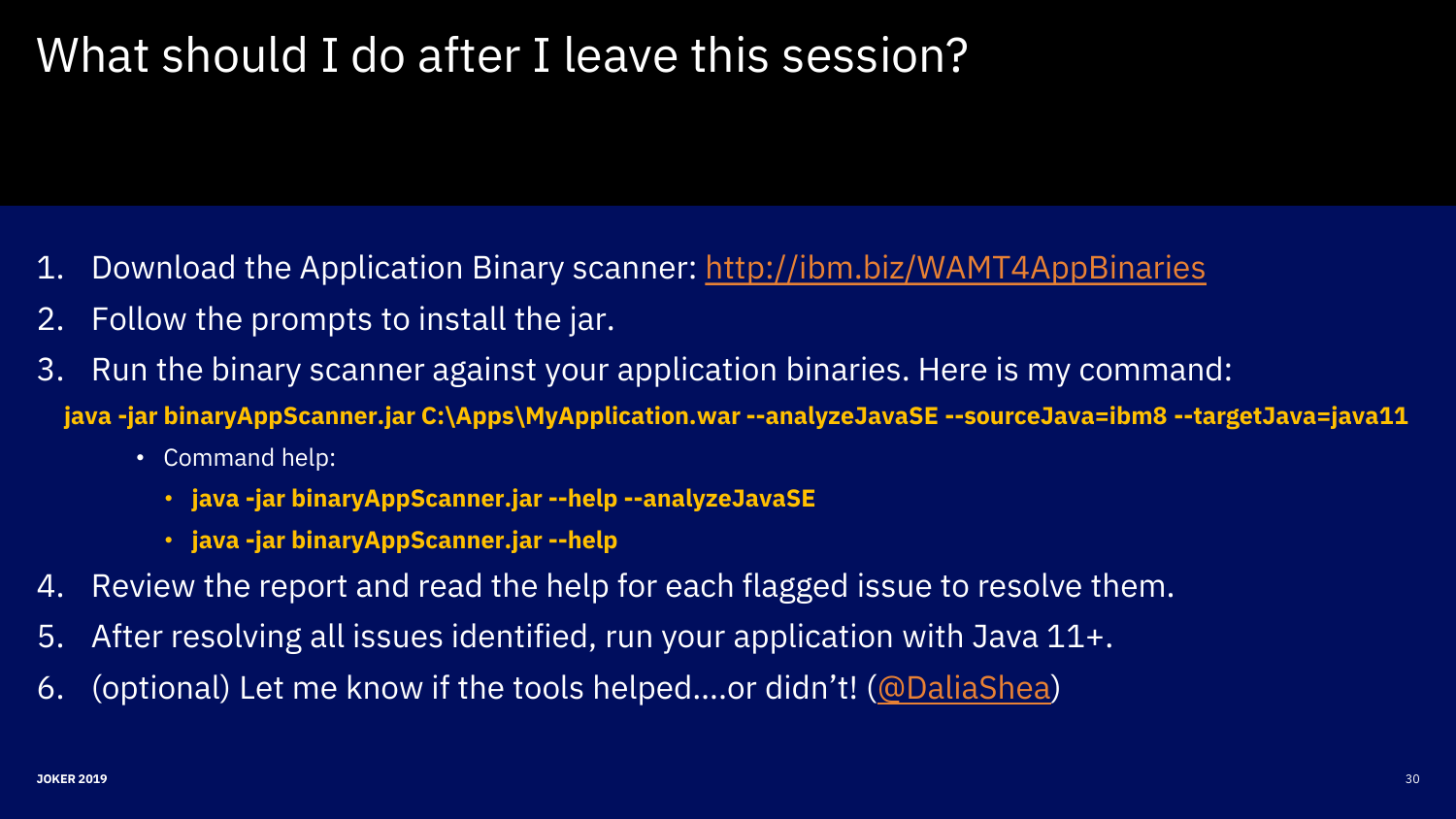# What should I do after I leave this session?

- 1. Download the Application Binary scanner: <http://ibm.biz/WAMT4AppBinaries>
- 2. Follow the prompts to install the jar.
- 3. Run the binary scanner against your application binaries. Here is my command:
- **java -jar binaryAppScanner.jar C:\Apps\MyApplication.war --analyzeJavaSE --sourceJava=ibm8 --targetJava=java11**
	- Command help:
		- **java -jar binaryAppScanner.jar --help --analyzeJavaSE**
		- **java -jar binaryAppScanner.jar --help**
- 4. Review the report and read the help for each flagged issue to resolve them.
- 5. After resolving all issues identified, run your application with Java 11+.
- 6. (optional) Let me know if the tools helped….or didn't! ([@DaliaShea\)](https://twitter.com/DaliaShea)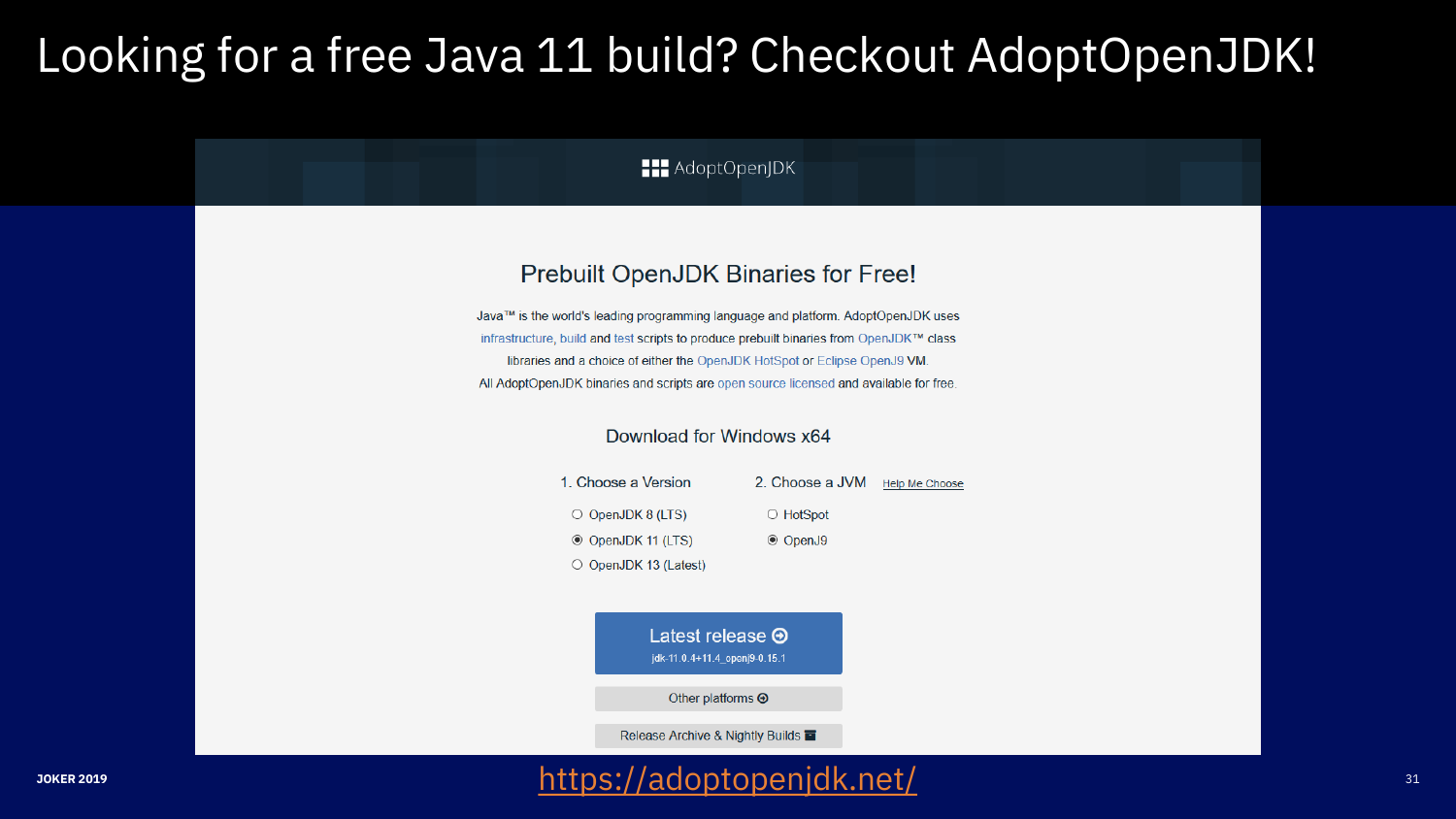# Looking for a free Java 11 build? Checkout AdoptOpenJDK!

**HI** AdoptOpenJDK

#### Prebuilt OpenJDK Binaries for Free!

Java™ is the world's leading programming language and platform. AdoptOpenJDK uses infrastructure, build and test scripts to produce prebuilt binaries from OpenJDK™ class libraries and a choice of either the OpenJDK HotSpot or Eclipse OpenJ9 VM. All AdoptOpenJDK binaries and scripts are open source licensed and available for free.

#### Download for Windows x64

| 1. Choose a Version         | 2. Choose a JVM | <b>Help Me Choose</b> |
|-----------------------------|-----------------|-----------------------|
| $\circ$ OpenJDK 8 (LTS)     | $\circ$ HotSpot |                       |
| © OpenJDK 11 (LTS)          | <b>◎ OpenJ9</b> |                       |
| $\circ$ OpenJDK 13 (Latest) |                 |                       |

Latest release  $\Theta$ jdk-11.0.4+11.4 openj9-0.15.1

Other platforms  $\Theta$ 

Release Archive & Nightly Builds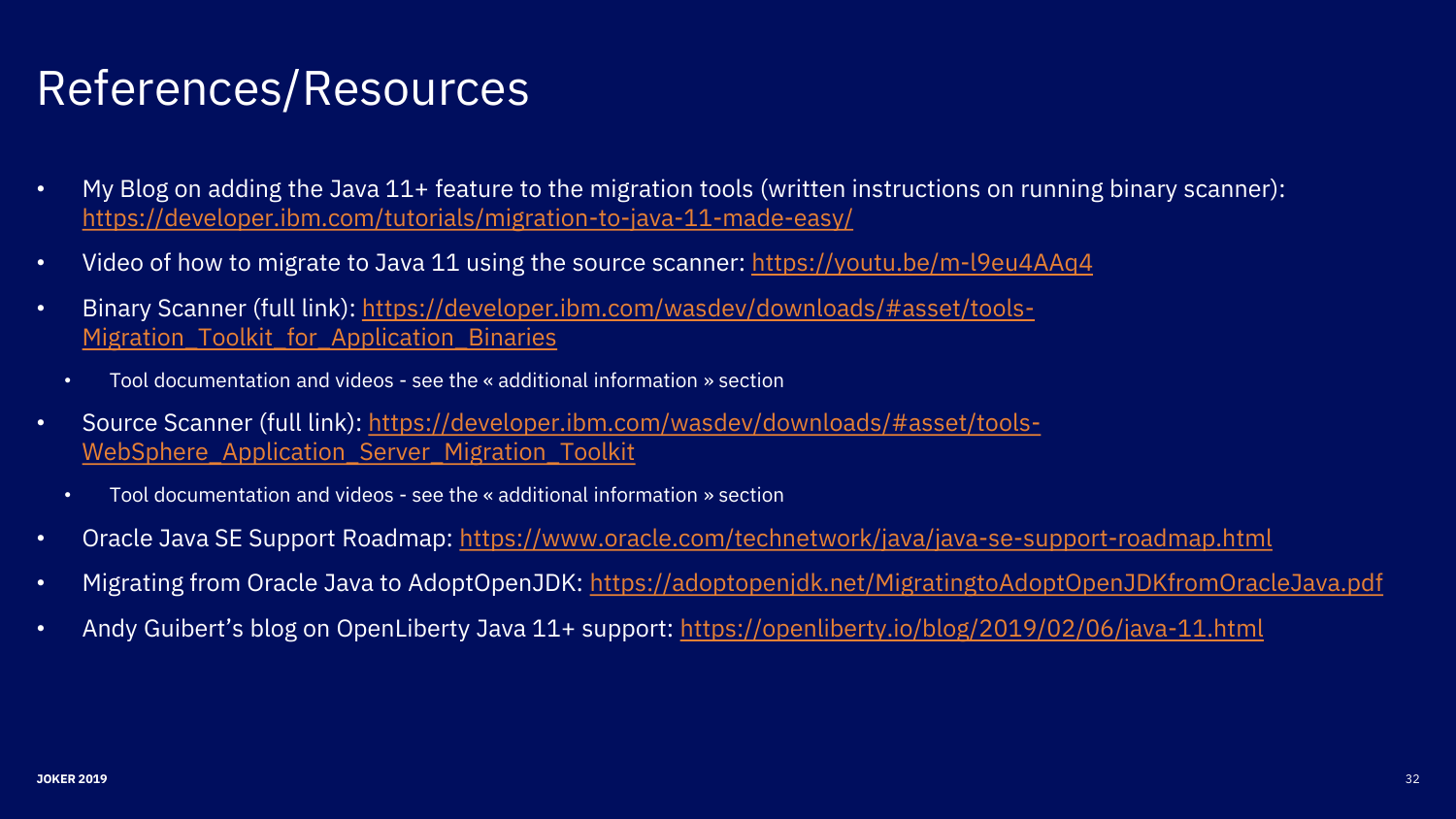# References/Resources

- My Blog on adding the Java 11+ feature to the migration tools (written instructions on running binary scanner): <https://developer.ibm.com/tutorials/migration-to-java-11-made-easy/>
- Video of how to migrate to Java 11 using the source scanner: <https://youtu.be/m-l9eu4AAq4>
- Binary [Scanner \(full link\): https://developer.ibm.com/wasdev/downloads/#asset/tools-](https://developer.ibm.com/wasdev/downloads/#asset/tools-Migration_Toolkit_for_Application_Binaries)Migration Toolkit for Application Binaries
	- Tool documentation and videos see the « additional information » section
- [Source Scanner \(full link\): https://developer.ibm.com/wasdev/downloads/#asset/tools-](https://developer.ibm.com/wasdev/downloads/#asset/tools-WebSphere_Application_Server_Migration_Toolkit)WebSphere Application Server Migration Toolkit
	- Tool documentation and videos see the « additional information » section
- Oracle Java SE Support Roadmap: <https://www.oracle.com/technetwork/java/java-se-support-roadmap.html>
- Migrating from Oracle Java to AdoptOpenJDK: <https://adoptopenjdk.net/MigratingtoAdoptOpenJDKfromOracleJava.pdf>
- Andy Guibert's blog on OpenLiberty Java 11+ support: <https://openliberty.io/blog/2019/02/06/java-11.html>